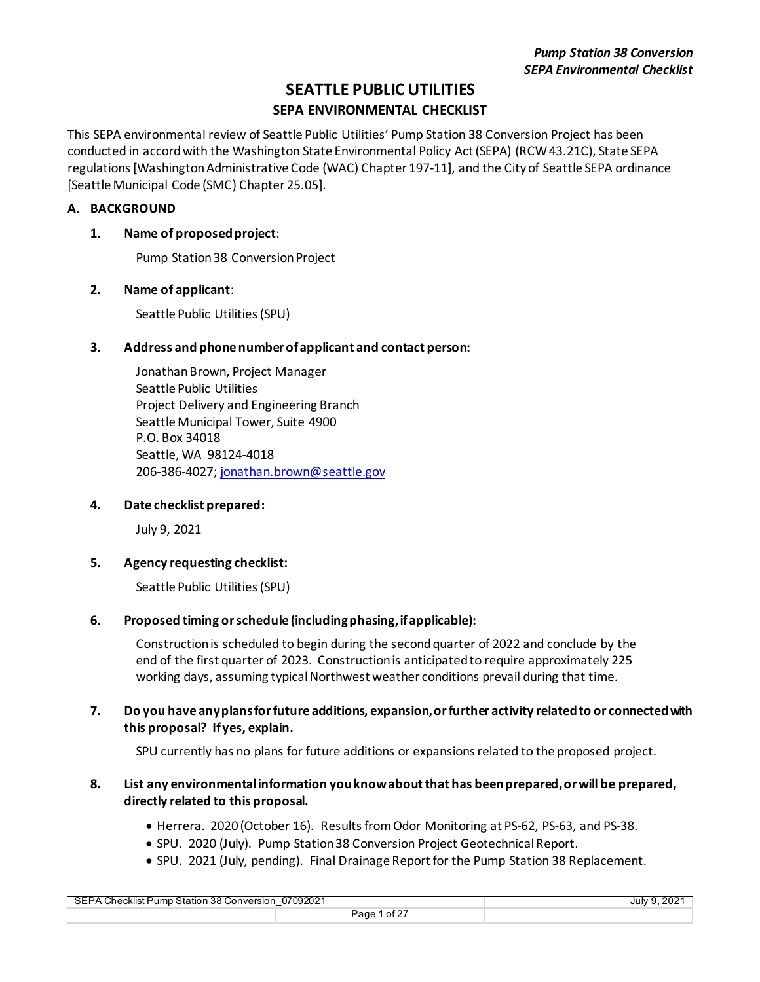# **SEATTLE PUBLIC UTILITIES**

## **SEPA ENVIRONMENTAL CHECKLIST**

This SEPA environmental review of Seattle Public Utilities' Pump Station 38 Conversion Project has been conducted in accord with the Washington State Environmental Policy Act (SEPA) (RCW 43.21C), State SEPA regulations [Washington Administrative Code (WAC) Chapter 197-11], and the City of Seattle SEPA ordinance [Seattle Municipal Code (SMC) Chapter 25.05].

### **A. BACKGROUND**

### **1. Name of proposed project**:

Pump Station 38 Conversion Project

### **2. Name of applicant**:

Seattle Public Utilities(SPU)

### **3. Address and phone number of applicant and contact person:**

Jonathan Brown, Project Manager Seattle Public Utilities Project Delivery and Engineering Branch Seattle Municipal Tower, Suite 4900 P.O. Box 34018 Seattle, WA 98124-4018 206-386-4027[; jonathan.brown@seattle.gov](mailto:jonathan.brown@seattle.gov)

### **4. Date checklist prepared:**

July 9, 2021

### **5. Agency requesting checklist:**

Seattle Public Utilities(SPU)

### **6. Proposed timing or schedule (including phasing, if applicable):**

Construction is scheduled to begin during the second quarter of 2022 and conclude by the end of the first quarter of 2023. Construction is anticipated to require approximately 225 working days, assuming typical Northwest weather conditions prevail during that time.

### **7. Do you have any plans for future additions, expansion, or further activity related to or connected with this proposal? If yes, explain.**

SPU currently has no plans for future additions or expansions related to the proposed project.

### **8. List any environmental information you know about that has been prepared, or will be prepared, directly related to this proposal.**

- Herrera. 2020 (October 16). Results from Odor Monitoring at PS-62, PS-63, and PS-38.
- SPU. 2020 (July). Pump Station 38 Conversion Project Geotechnical Report.
- SPU. 2021 (July, pending). Final Drainage Report for the Pump Station 38 Replacement.

| 07092021<br>SEPA Checklist Pump Station 38 Conversion |              | . 202 $^{\prime}$<br>July 9 |
|-------------------------------------------------------|--------------|-----------------------------|
|                                                       | Page 1 of 27 |                             |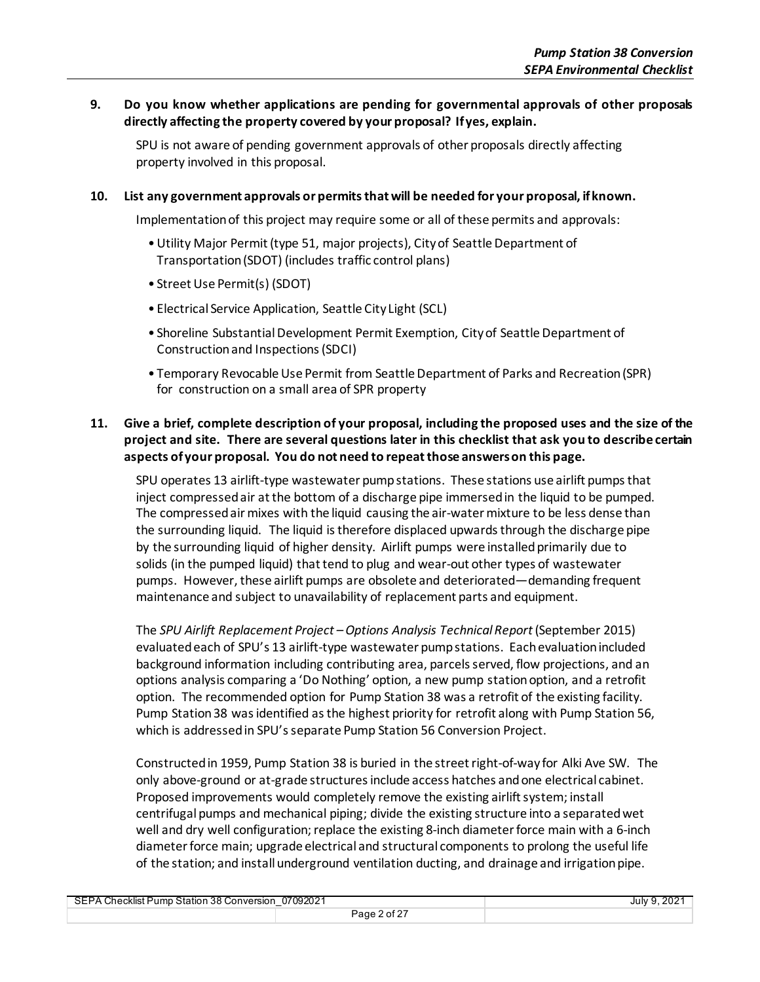### **9. Do you know whether applications are pending for governmental approvals of other proposals directly affecting the property covered by your proposal? If yes, explain.**

SPU is not aware of pending government approvals of other proposals directly affecting property involved in this proposal.

#### **10. List any government approvals or permits that will be needed for your proposal, if known.**

Implementation of this project may require some or all of these permits and approvals:

- •Utility Major Permit (type 51, major projects), City of Seattle Department of Transportation (SDOT) (includes traffic control plans)
- Street Use Permit(s) (SDOT)
- Electrical Service Application, Seattle City Light (SCL)
- Shoreline Substantial Development Permit Exemption, City of Seattle Department of Construction and Inspections (SDCI)
- Temporary Revocable Use Permit from Seattle Department of Parks and Recreation (SPR) for construction on a small area of SPR property

### **11. Give a brief, complete description of your proposal, including the proposed uses and the size of the project and site. There are several questions later in this checklist that ask you to describe certain aspects of your proposal. You do not need to repeat those answers on this page.**

SPU operates 13 airlift-type wastewater pump stations. These stations use airlift pumps that inject compressed air at the bottom of a discharge pipe immersed in the liquid to be pumped. The compressed air mixes with the liquid causing the air-water mixture to be less dense than the surrounding liquid. The liquid is therefore displaced upwards through the discharge pipe by the surrounding liquid of higher density. Airlift pumps were installed primarily due to solids (in the pumped liquid) that tend to plug and wear-out other types of wastewater pumps. However, these airlift pumps are obsolete and deteriorated—demanding frequent maintenance and subject to unavailability of replacement parts and equipment.

The *SPU Airlift Replacement Project –Options Analysis Technical Report* (September 2015) evaluatedeach of SPU's 13 airlift-type wastewater pump stations. Each evaluation included background information including contributing area, parcels served, flow projections, and an options analysis comparing a 'Do Nothing' option, a new pump station option, and a retrofit option. The recommended option for Pump Station 38 was a retrofit of the existing facility. Pump Station 38 was identified as the highest priority for retrofit along with Pump Station 56, which is addressed in SPU's separate Pump Station 56 Conversion Project.

Constructed in 1959, Pump Station 38 is buried in the street right-of-way for Alki Ave SW. The only above-ground or at-grade structures include access hatches and one electrical cabinet. Proposed improvements would completely remove the existing airlift system; install centrifugal pumps and mechanical piping; divide the existing structure into a separated wet well and dry well configuration; replace the existing 8-inch diameter force main with a 6-inch diameter force main; upgrade electrical and structural components to prolong the useful life of the station; and install underground ventilation ducting, and drainage and irrigationpipe.

| 07092021<br>SEPA Checklist Pump Station 38 Conversion<br>_ |                     | .202 <sup>4</sup><br>July 9 |
|------------------------------------------------------------|---------------------|-----------------------------|
|                                                            | $2$ of 27<br>Page C |                             |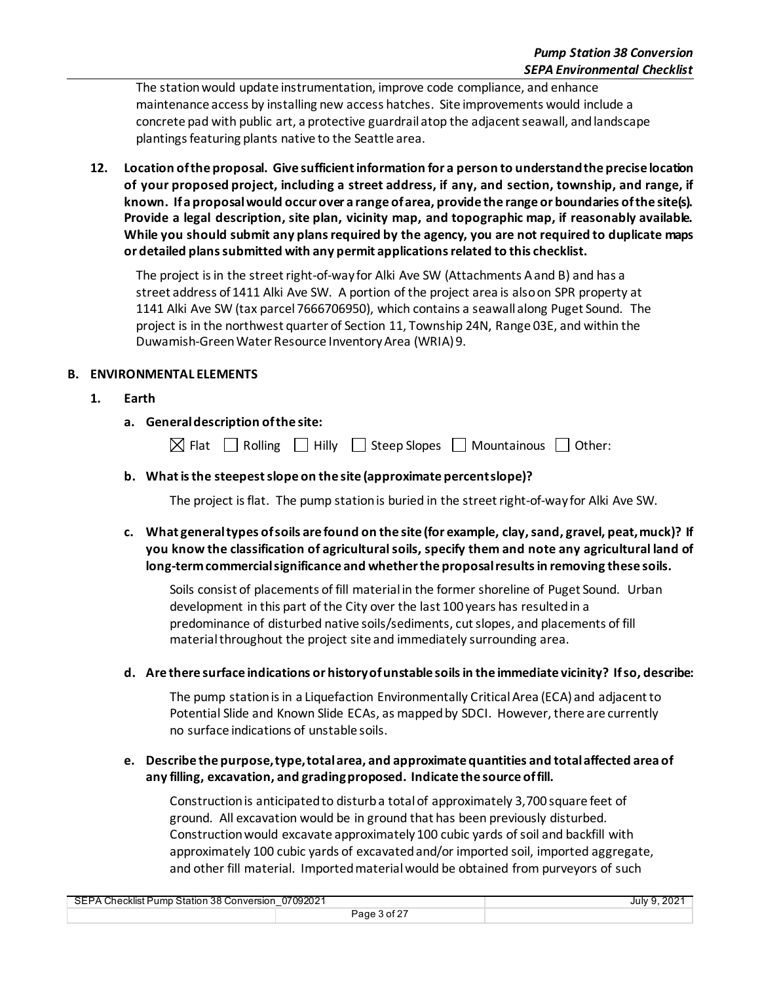The station would update instrumentation, improve code compliance, and enhance maintenance access by installing new access hatches. Site improvements would include a concrete pad with public art, a protective guardrail atop the adjacent seawall, and landscape plantingsfeaturing plants native to the Seattle area.

**12. Location of the proposal. Give sufficient information for a person to understand the precise location of your proposed project, including a street address, if any, and section, township, and range, if known. If a proposal would occur over a range of area, provide the range or boundaries of the site(s). Provide a legal description, site plan, vicinity map, and topographic map, if reasonably available. While you should submit any plans required by the agency, you are not required to duplicate maps or detailed plans submitted with any permit applications related to this checklist.**

The project is in the street right-of-way for Alki Ave SW (Attachments A and B) and has a street address of 1411 Alki Ave SW. A portion of the project area is also on SPR property at 1141 Alki Ave SW (tax parcel 7666706950), which contains a seawall along Puget Sound. The project is in the northwest quarter of Section 11, Township 24N, Range 03E, and within the Duwamish-GreenWater Resource Inventory Area (WRIA)9.

### **B. ENVIRONMENTAL ELEMENTS**

- **1. Earth**
	- **a. General description of the site:**

 $\boxtimes$  Flat  $\Box$  Rolling  $\Box$  Hilly  $\Box$  Steep Slopes  $\Box$  Mountainous  $\Box$  Other:

### **b. What is the steepest slope on the site (approximate percent slope)?**

The project is flat. The pump station is buried in the street right-of-way for Alki Ave SW.

**c. What general types of soils are found on the site (for example, clay,sand, gravel, peat, muck)? If you know the classification of agricultural soils, specify them and note any agricultural land of long-term commercial significance and whether the proposal results in removing these soils.**

Soils consist of placements of fill material in the former shoreline of Puget Sound. Urban development in this part of the City over the last 100 years has resulted in a predominance of disturbed native soils/sediments, cut slopes, and placements of fill material throughout the project site and immediately surrounding area.

### **d. Are there surface indications or history of unstable soils in the immediate vicinity? If so, describe:**

The pump station is in a Liquefaction Environmentally Critical Area (ECA) and adjacent to Potential Slide and Known Slide ECAs, as mapped by SDCI. However, there are currently no surface indications of unstable soils.

### **e. Describe the purpose, type, total area, and approximate quantities and total affected area of any filling, excavation, and grading proposed. Indicate the source of fill.**

Construction is anticipated to disturb a total of approximately 3,700 square feet of ground. All excavation would be in ground that has been previously disturbed. Construction would excavate approximately 100 cubic yards of soil and backfill with approximately 100 cubic yards of excavated and/or imported soil, imported aggregate, and other fill material. Imported material would be obtained from purveyors of such

| 07092021<br><b>SEPA</b><br>A Checklist Pump Station 38 Conversion |              | July 9, 202 |
|-------------------------------------------------------------------|--------------|-------------|
|                                                                   | Page 3 of 27 |             |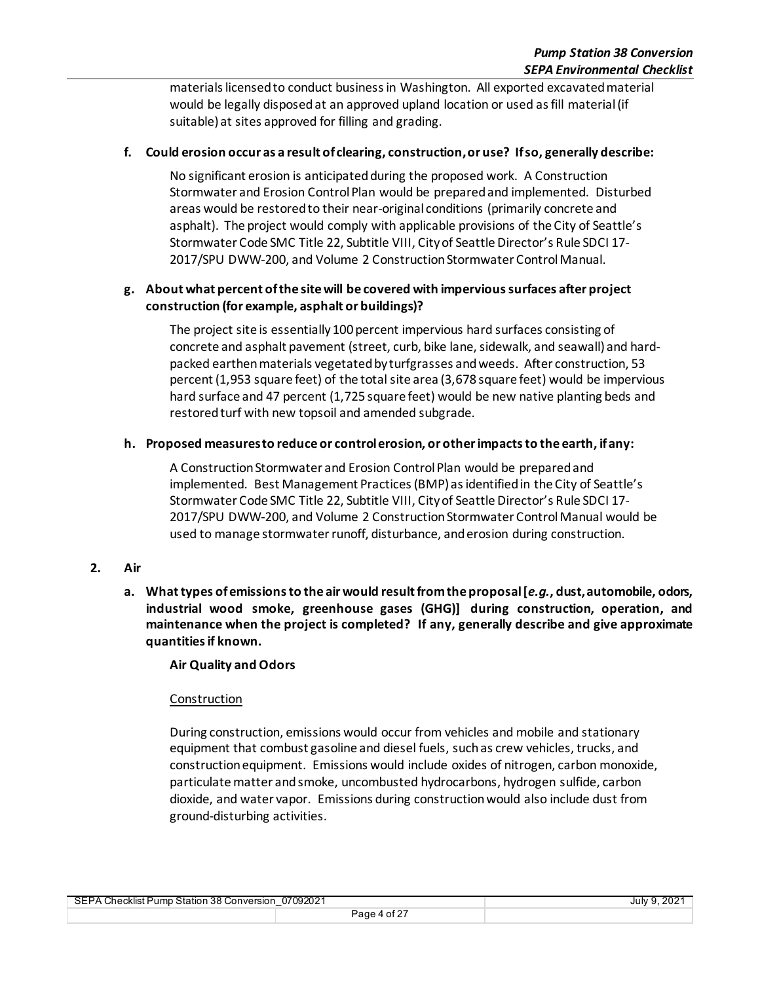materials licensed to conduct business in Washington. All exported excavated material would be legally disposed at an approved upland location or used as fill material (if suitable) at sites approved for filling and grading.

### **f. Could erosion occur as a result of clearing, construction, or use? If so, generally describe:**

No significant erosion is anticipated during the proposed work. A Construction Stormwater and Erosion Control Plan would be prepared and implemented. Disturbed areas would be restored to their near-original conditions (primarily concrete and asphalt). The project would comply with applicable provisions of the City of Seattle's Stormwater Code SMC Title 22, Subtitle VIII, City of Seattle Director's Rule SDCI 17- 2017/SPU DWW-200, and Volume 2 Construction Stormwater Control Manual.

### **g. About what percent of the site will be covered with impervious surfaces after project construction (for example, asphalt or buildings)?**

The project site is essentially 100 percent impervious hard surfaces consisting of concrete and asphalt pavement (street, curb, bike lane, sidewalk, and seawall) and hardpacked earthen materials vegetated by turfgrasses and weeds. After construction, 53 percent (1,953 square feet) of the total site area (3,678 square feet) would be impervious hard surface and 47 percent (1,725 square feet) would be new native planting beds and restored turf with new topsoil and amended subgrade.

### **h. Proposed measures to reduce or control erosion, or other impacts to the earth, if any:**

A Construction Stormwater and Erosion Control Plan would be prepared and implemented. Best Management Practices (BMP) as identified in the City of Seattle's Stormwater Code SMC Title 22, Subtitle VIII, City of Seattle Director's Rule SDCI 17- 2017/SPU DWW-200, and Volume 2 Construction Stormwater Control Manual would be used to manage stormwater runoff, disturbance, and erosion during construction.

### **2. Air**

**a. What types of emissions to the airwould result from the proposal [***e.g.***, dust, automobile, odors, industrial wood smoke, greenhouse gases (GHG)] during construction, operation, and maintenance when the project is completed? If any, generally describe and give approximate quantitiesif known.**

### **Air Quality and Odors**

### Construction

During construction, emissions would occur from vehicles and mobile and stationary equipment that combust gasoline and diesel fuels, such as crew vehicles, trucks, and construction equipment. Emissions would include oxides of nitrogen, carbon monoxide, particulate matter and smoke, uncombusted hydrocarbons, hydrogen sulfide, carbon dioxide, and water vapor. Emissions during construction would also include dust from ground-disturbing activities.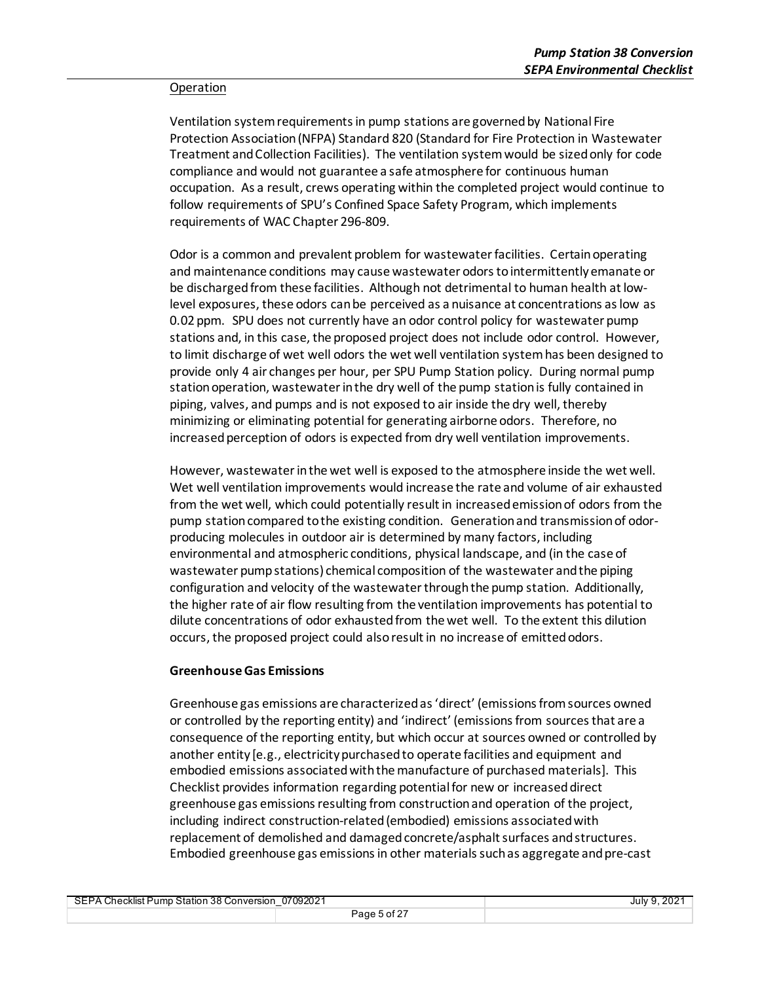#### Operation

Ventilation system requirements in pump stations are governed by National Fire Protection Association (NFPA) Standard 820 (Standard for Fire Protection in Wastewater Treatment and Collection Facilities). The ventilation system would be sized only for code compliance and would not guarantee a safe atmosphere for continuous human occupation. As a result, crews operating within the completed project would continue to follow requirements of SPU's Confined Space Safety Program, which implements requirements of WAC Chapter 296-809.

Odor is a common and prevalent problem for wastewater facilities. Certain operating and maintenance conditions may cause wastewater odors to intermittently emanate or be discharged from these facilities. Although not detrimental to human health at lowlevel exposures, these odors can be perceived as a nuisance at concentrations as low as 0.02 ppm. SPU does not currently have an odor control policy for wastewater pump stations and, in this case, the proposed project does not include odor control. However, to limit discharge of wet well odors the wet well ventilation system has been designed to provide only 4 air changes per hour, per SPU Pump Station policy. During normal pump station operation, wastewater in the dry well of the pump station is fully contained in piping, valves, and pumps and is not exposed to air inside the dry well, thereby minimizing or eliminating potential for generating airborne odors. Therefore, no increased perception of odors is expected from dry well ventilation improvements.

However, wastewater in the wet well is exposed to the atmosphere inside the wet well. Wet well ventilation improvements would increase the rate and volume of air exhausted from the wet well, which could potentially result in increased emission of odors from the pump stationcompared to the existing condition. Generation and transmission of odorproducing molecules in outdoor air is determined by many factors, including environmental and atmospheric conditions, physical landscape, and (in the case of wastewater pump stations) chemical composition of the wastewater and the piping configuration and velocity of the wastewater through the pump station. Additionally, the higher rate of air flow resulting from the ventilation improvements has potential to dilute concentrations of odor exhausted from the wet well. To the extent this dilution occurs, the proposed project could also result in no increase of emitted odors.

#### **Greenhouse Gas Emissions**

Greenhouse gas emissions are characterized as 'direct' (emissions from sources owned or controlled by the reporting entity) and 'indirect' (emissions from sources that are a consequence of the reporting entity, but which occur at sources owned or controlled by another entity [e.g., electricity purchased to operate facilities and equipment and embodied emissions associated with the manufacture of purchased materials]. This Checklist provides information regarding potentialfor new or increased direct greenhouse gas emissions resulting from construction and operation of the project, including indirect construction-related (embodied) emissions associated with replacement of demolished and damaged concrete/asphalt surfaces and structures. Embodied greenhouse gas emissions in other materials such as aggregate and pre-cast

| 07092021<br>SEPA Checklist Pump Station 38 Conversion<br>– |              | July 9, 2021 |
|------------------------------------------------------------|--------------|--------------|
|                                                            | Page 5 of 27 |              |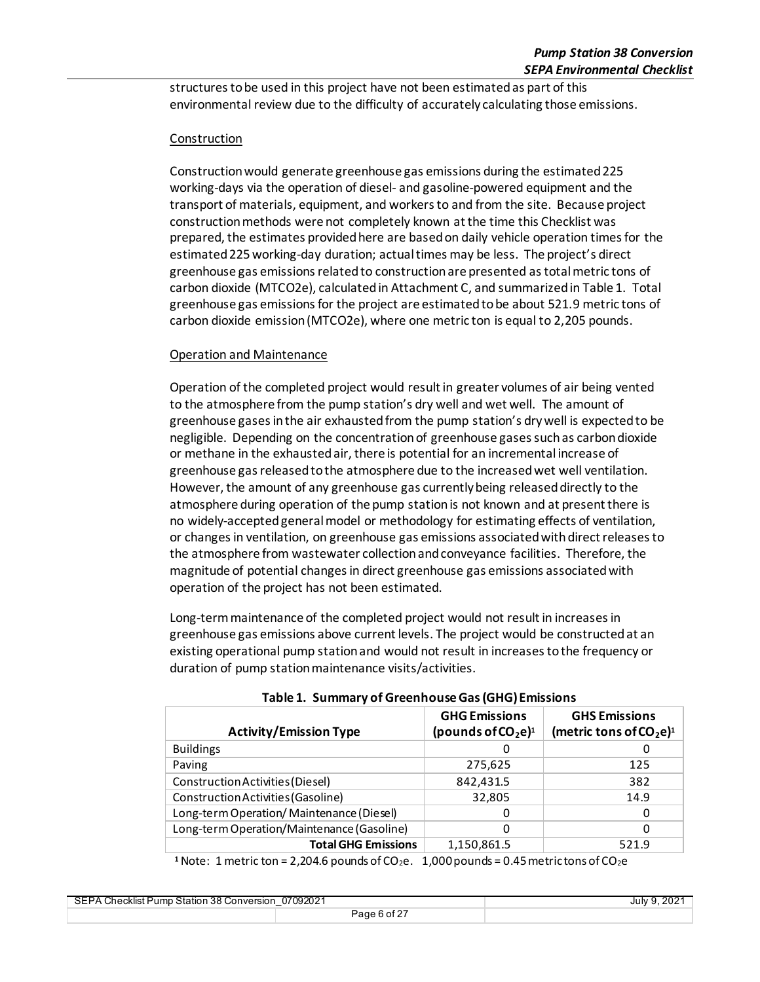structures to be used in this project have not been estimated as part of this environmental review due to the difficulty of accurately calculating those emissions.

### Construction

Construction would generate greenhouse gas emissions during the estimated 225 working-days via the operation of diesel- and gasoline-powered equipment and the transport of materials, equipment, and workers to and from the site. Because project construction methods were not completely known at the time this Checklist was prepared, the estimates provided here are based on daily vehicle operation times for the estimated 225 working-day duration; actual times may be less. The project's direct greenhouse gas emissions related to construction are presented as total metric tons of carbon dioxide (MTCO2e), calculated in Attachment C, and summarized in Table 1. Total greenhouse gas emissions for the project are estimated to be about 521.9 metric tons of carbon dioxide emission (MTCO2e), where one metric ton is equal to 2,205 pounds.

### Operation and Maintenance

Operation of the completed project would result in greater volumes of air being vented to the atmosphere from the pump station's dry well and wet well. The amount of greenhouse gases in the air exhaustedfrom the pump station's dry well is expected to be negligible. Depending on the concentration of greenhouse gases such as carbon dioxide or methane in the exhausted air, there is potential for an incremental increase of greenhouse gas released to the atmosphere due to the increased wet well ventilation. However, the amount of any greenhouse gas currently being released directly to the atmosphere during operation of the pump station is not known and at present there is no widely-accepted general model or methodology for estimating effects of ventilation, or changes in ventilation, on greenhouse gas emissions associated with direct releases to the atmosphere from wastewater collection and conveyance facilities. Therefore, the magnitude of potential changes in direct greenhouse gas emissions associated with operation of the project has not been estimated.

Long-term maintenance of the completed project would not result in increases in greenhouse gas emissions above current levels. The project would be constructed at an existing operational pump station and would not result in increases to the frequency or duration of pump station maintenance visits/activities.

| <b>Activity/Emission Type</b>              | <b>GHG Emissions</b><br>(pounds of $CO2e$ ) <sup>1</sup> | <b>GHS Emissions</b><br>(metric tons of $CO2$ e) <sup>1</sup> |
|--------------------------------------------|----------------------------------------------------------|---------------------------------------------------------------|
| <b>Buildings</b>                           | O                                                        | 0                                                             |
| Paving                                     | 275,625                                                  | 125                                                           |
| Construction Activities (Diesel)           | 842,431.5                                                | 382                                                           |
| Construction Activities (Gasoline)         | 32,805                                                   | 14.9                                                          |
| Long-term Operation/Maintenance (Diesel)   |                                                          | 0                                                             |
| Long-term Operation/Maintenance (Gasoline) | 0                                                        | 0                                                             |
| <b>Total GHG Emissions</b>                 | 1,150,861.5                                              | 521.9                                                         |

**Table 1. Summary of Greenhouse Gas (GHG) Emissions**

<sup>1</sup> Note: 1 metric ton = 2,204.6 pounds of  $CO<sub>2</sub>e$ . 1,000 pounds = 0.45 metric tons of  $CO<sub>2</sub>e$ 

| 07092021<br>SEPA Checklist Pump Station 38 Conversion ⊥ |              | July 9, 2021 |
|---------------------------------------------------------|--------------|--------------|
|                                                         | Page 6 of 27 |              |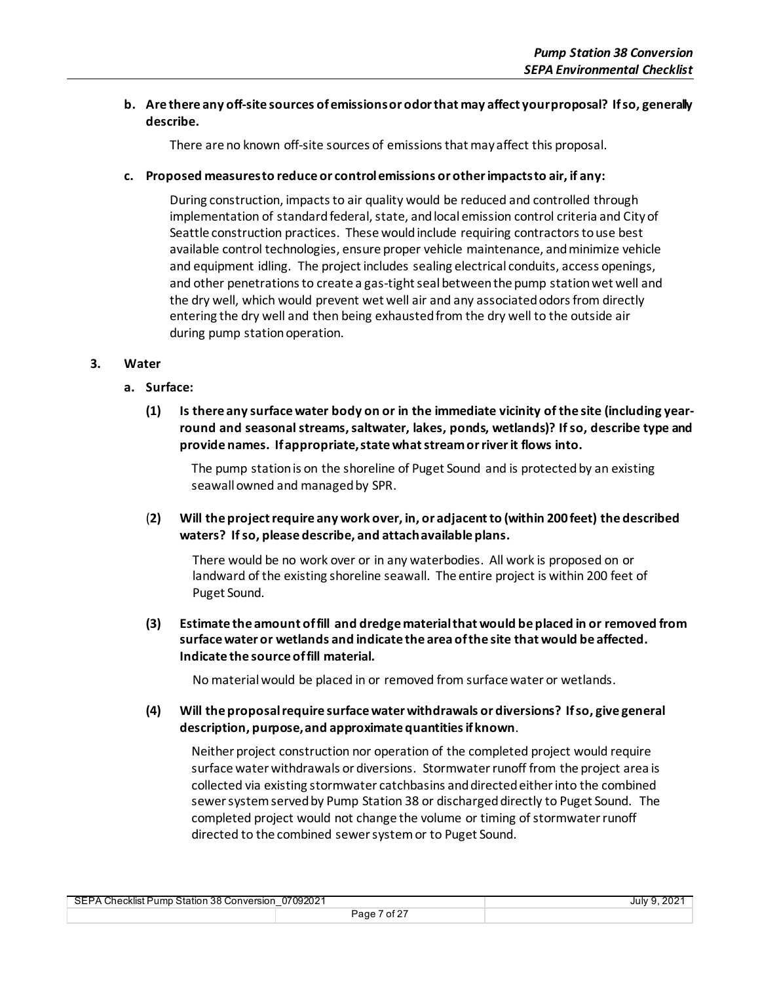### **b. Are there any off-site sources of emissions or odor that may affect your proposal? If so, generally describe.**

There are no known off-site sources of emissions that may affect this proposal.

### **c. Proposed measures to reduce or control emissions or other impacts to air, if any:**

During construction, impacts to air quality would be reduced and controlled through implementation of standard federal, state, and local emission control criteria and City of Seattle construction practices. These would include requiring contractors to use best available control technologies, ensure proper vehicle maintenance, and minimize vehicle and equipment idling. The project includes sealing electrical conduits, access openings, and other penetrations to create a gas-tight seal between the pump station wet well and the dry well, which would prevent wet well air and any associated odors from directly entering the dry well and then being exhausted from the dry well to the outside air during pump station operation.

### **3. Water**

### **a. Surface:**

**(1) Is there any surface water body on or in the immediate vicinity of the site (including yearround and seasonal streams, saltwater, lakes, ponds, wetlands)? If so, describe type and provide names. If appropriate, state what stream or river it flows into.**

The pump stationis on the shoreline of Puget Sound and is protected by an existing seawall owned and managed by SPR.

(**2) Will the project require any work over, in, or adjacent to (within 200 feet) the described waters? If so, please describe, and attach available plans.**

There would be no work over or in any waterbodies. All work is proposed on or landward of the existing shoreline seawall. The entire project is within 200 feet of Puget Sound.

**(3) Estimate the amount of fill and dredge material that would be placed in or removed from surface water or wetlands and indicate the area of the site that would be affected. Indicate the source of fill material.**

No material would be placed in or removed from surface water or wetlands.

**(4) Will the proposal require surface water withdrawals or diversions? If so, give general description, purpose, and approximate quantities if known**.

Neither project construction nor operation of the completed project would require surface water withdrawals or diversions. Stormwater runoff from the project area is collected via existing stormwater catchbasins and directed either into the combined sewer systemserved by Pump Station 38 or discharged directly to Puget Sound. The completed project would not change the volume or timing of stormwater runoff directed to the combined sewer systemor to Puget Sound.

| 07092021                                  |                       | .202 <sup>4</sup> |
|-------------------------------------------|-----------------------|-------------------|
| SEPA Checklist Pump Station 38 Conversion |                       | July 9.           |
|                                           | $\circ$ of 27<br>Page |                   |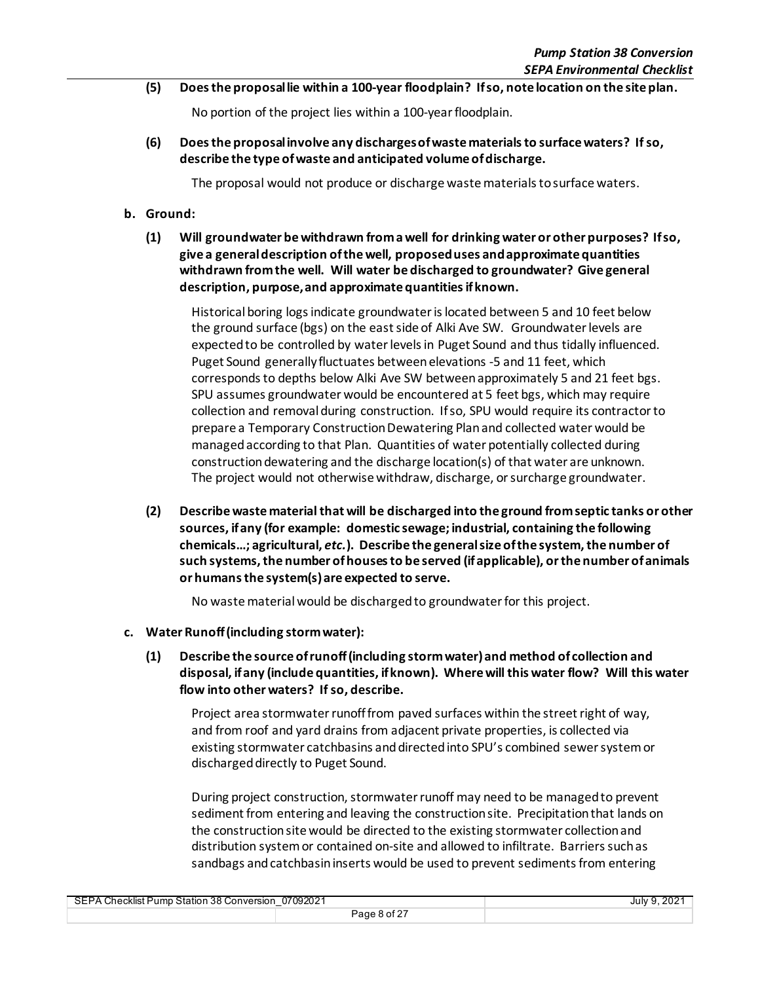**(5) Does the proposal lie within a 100-year floodplain? If so, note location on the site plan.**

No portion of the project lies within a 100-year floodplain.

**(6) Does the proposal involve any discharges of waste materials to surface waters? If so, describe the type of waste and anticipated volume of discharge.**

The proposal would not produce or discharge waste materials to surface waters.

- **b. Ground:**
	- **(1) Will groundwater be withdrawn from a well for drinking water or other purposes? If so, give a general description of the well, proposed uses and approximate quantities withdrawn from the well. Will water be discharged to groundwater? Give general description, purpose, and approximate quantities if known.**

Historical boring logs indicate groundwater is located between 5 and 10 feet below the ground surface (bgs) on the east side of Alki Ave SW. Groundwater levels are expected to be controlled by water levelsin Puget Sound and thus tidally influenced. Puget Sound generally fluctuates between elevations -5 and 11 feet, which corresponds to depths below Alki Ave SW between approximately 5 and 21 feet bgs. SPU assumes groundwater would be encountered at 5 feet bgs, which may require collection and removal during construction. If so, SPU would require its contractor to prepare a Temporary Construction Dewatering Plan and collected water would be managed according to that Plan. Quantities of water potentially collected during construction dewatering and the discharge location(s) of that water are unknown. The project would not otherwise withdraw, discharge, or surcharge groundwater.

**(2) Describe waste material that will be discharged into the ground from septic tanks or other sources, if any (for example: domestic sewage; industrial, containing the following chemicals…; agricultural,** *etc.***). Describe the general size of the system, the number of such systems, the number of houses to be served (if applicable), or the number of animals or humans the system(s) are expected to serve.**

No waste material would be discharged to groundwater for this project.

- **c. Water Runoff (including storm water):**
	- **(1) Describe the source of runoff (including storm water) and method of collection and disposal, if any (include quantities, if known). Where will this water flow? Will this water flow into other waters? If so, describe.**

Project area stormwater runoff from paved surfaces within the street right of way, and from roof and yard drains from adjacent private properties, is collected via existing stormwater catchbasins and directed into SPU's combined sewer systemor discharged directly to Puget Sound.

During project construction, stormwater runoff may need to be managed to prevent sediment from entering and leaving the construction site. Precipitation that lands on the construction site would be directed to the existing stormwater collection and distribution system or contained on-site and allowed to infiltrate. Barriers such as sandbags and catchbasin inserts would be used to prevent sedimentsfrom entering

| 07092021                                  |              | .9.202 |
|-------------------------------------------|--------------|--------|
| SEPA Checklist Pump Station 38 Conversion |              | July 9 |
|                                           | Page 8 of 27 |        |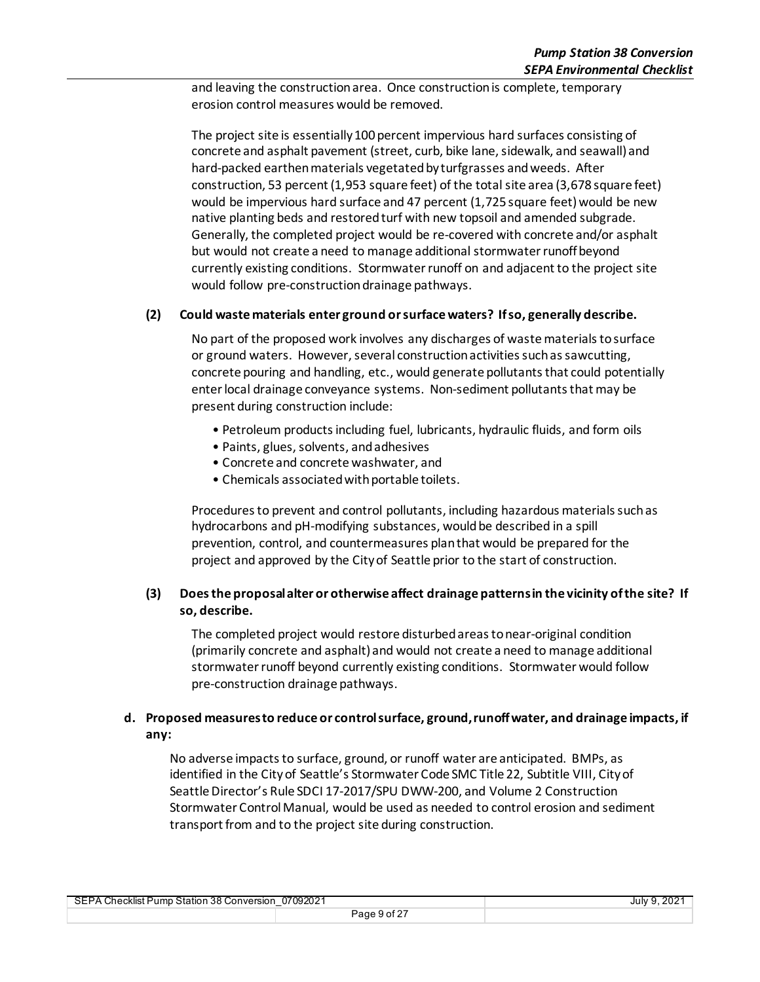and leaving the construction area. Once construction is complete, temporary erosion control measures would be removed.

The project site is essentially 100 percent impervious hard surfaces consisting of concrete and asphalt pavement (street, curb, bike lane, sidewalk, and seawall) and hard-packed earthen materials vegetated by turfgrasses and weeds. After construction, 53 percent (1,953 square feet) of the total site area (3,678 square feet) would be impervious hard surface and 47 percent (1,725 square feet) would be new native planting beds and restored turf with new topsoil and amended subgrade. Generally, the completed project would be re-covered with concrete and/or asphalt but would not create a need to manage additional stormwater runoff beyond currently existing conditions. Stormwaterrunoff on and adjacent to the project site would follow pre-construction drainage pathways.

### **(2) Could waste materials enter ground or surface waters? If so, generally describe.**

No part of the proposed work involves any discharges of waste materials to surface or ground waters. However, several construction activities suchas sawcutting, concrete pouring and handling, etc., would generate pollutants that could potentially enter local drainage conveyance systems. Non-sediment pollutants that may be present during construction include:

- Petroleum products including fuel, lubricants, hydraulic fluids, and form oils
- Paints, glues, solvents, and adhesives
- Concrete and concrete washwater, and
- Chemicals associated with portable toilets.

Procedures to prevent and control pollutants, including hazardous materials such as hydrocarbons and pH-modifying substances, would be described in a spill prevention, control, and countermeasures plan that would be prepared for the project and approved by the City of Seattle prior to the start of construction.

### **(3) Does the proposal alter or otherwise affect drainage patterns in the vicinity of the site? If so, describe.**

The completed project would restore disturbed areas to near-original condition (primarily concrete and asphalt) and would not create a need to manage additional stormwater runoff beyond currently existing conditions. Stormwater would follow pre-construction drainage pathways.

### **d. Proposed measures to reduce or control surface, ground, runoff water, and drainage impacts, if any:**

No adverse impacts to surface, ground, or runoff water are anticipated. BMPs, as identified in the City of Seattle's Stormwater Code SMC Title 22, Subtitle VIII, City of Seattle Director's Rule SDCI 17-2017/SPU DWW-200, and Volume 2 Construction Stormwater Control Manual, would be used as needed to control erosion and sediment transport from and to the project site during construction.

| SEPA Checklist Pump Station 38 Conversion 07092021<br>_ |              | July 9, 2021 |
|---------------------------------------------------------|--------------|--------------|
|                                                         | Page 9 of 27 |              |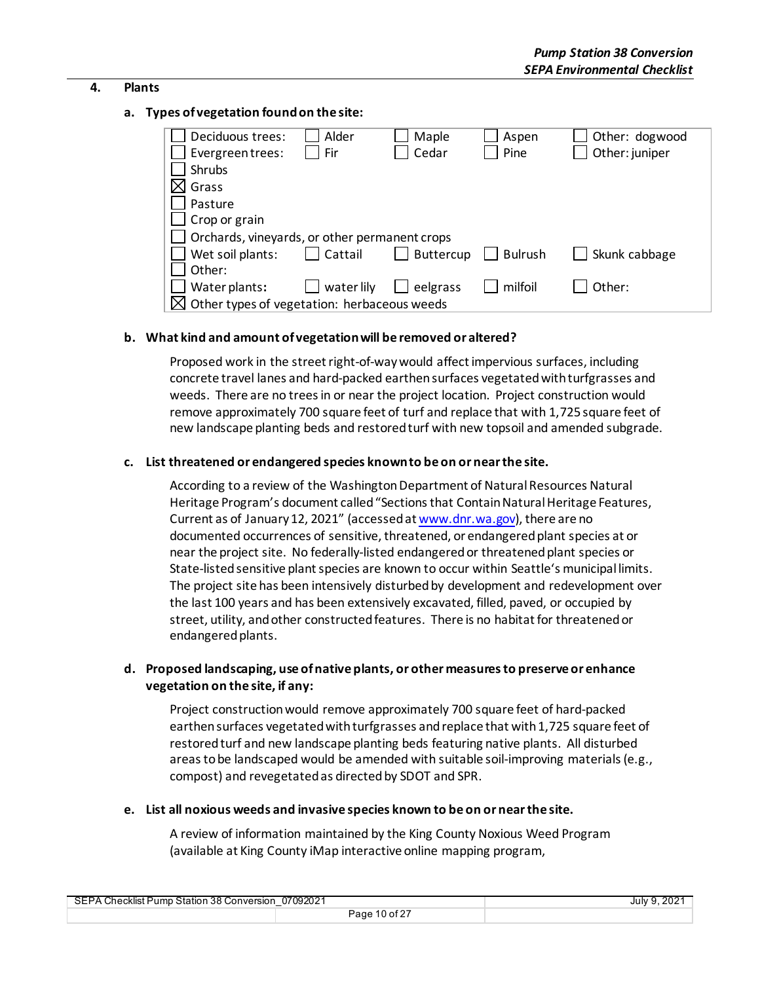### **4. Plants**

### **a. Types of vegetation found on the site:**

| Deciduous trees:                                        | Alder      | Maple            | Aspen          | Other: dogwood |
|---------------------------------------------------------|------------|------------------|----------------|----------------|
| Evergreentrees:                                         | Fir        | Cedar            | Pine           | Other: juniper |
| Shrubs                                                  |            |                  |                |                |
| Grass                                                   |            |                  |                |                |
| Pasture                                                 |            |                  |                |                |
| Crop or grain                                           |            |                  |                |                |
| Orchards, vineyards, or other permanent crops           |            |                  |                |                |
| Wet soil plants:                                        | Cattail    | <b>Buttercup</b> | <b>Bulrush</b> | Skunk cabbage  |
| Other:                                                  |            |                  |                |                |
| Water plants:                                           | water lily | eelgrass         | milfoil        | Other:         |
| $\boxtimes$ Other types of vegetation: herbaceous weeds |            |                  |                |                |

### **b. What kind and amount of vegetation will be removed or altered?**

Proposed work in the street right-of-way would affect impervious surfaces, including concrete travel lanes and hard-packed earthensurfaces vegetated with turfgrasses and weeds. There are no trees in or near the project location. Project construction would remove approximately 700 square feet of turf and replace that with 1,725 square feet of new landscape planting beds and restored turf with new topsoil and amended subgrade.

### **c. List threatened or endangered species known to be on or near the site.**

According to a review of the Washington Department of Natural Resources Natural Heritage Program's document called "Sections that Contain Natural Heritage Features, Current as of January 12, 2021" (accessed a[t www.dnr.wa.gov\)](http://www.dnr.wa.gov/), there are no documented occurrences of sensitive, threatened, or endangered plant species at or near the project site. No federally-listed endangered or threatened plant species or State-listed sensitive plant species are known to occur within Seattle's municipal limits. The project site has been intensively disturbed by development and redevelopment over the last 100 years and has been extensively excavated, filled, paved, or occupied by street, utility, and other constructed features. There is no habitat for threatened or endangered plants.

### **d. Proposed landscaping, use of native plants, or other measures to preserve or enhance vegetation on the site, if any:**

Project construction would remove approximately 700 square feet of hard-packed earthen surfaces vegetated with turfgrasses and replace that with 1,725 square feet of restored turf and new landscape planting beds featuring native plants. All disturbed areas to be landscaped would be amended with suitable soil-improving materials(e.g., compost) and revegetated as directed by SDOT and SPR.

**e. List all noxious weeds and invasive species known to be on or near the site.**

A review of information maintained by the King County Noxious Weed Program (available at King County iMap interactive online mapping program,

| 07092021                                  |                      | $202^{\circ}$ |
|-------------------------------------------|----------------------|---------------|
| SEPA Checklist Pump Station 38 Conversion |                      | July 9        |
|                                           | $10$ of $27$<br>Page |               |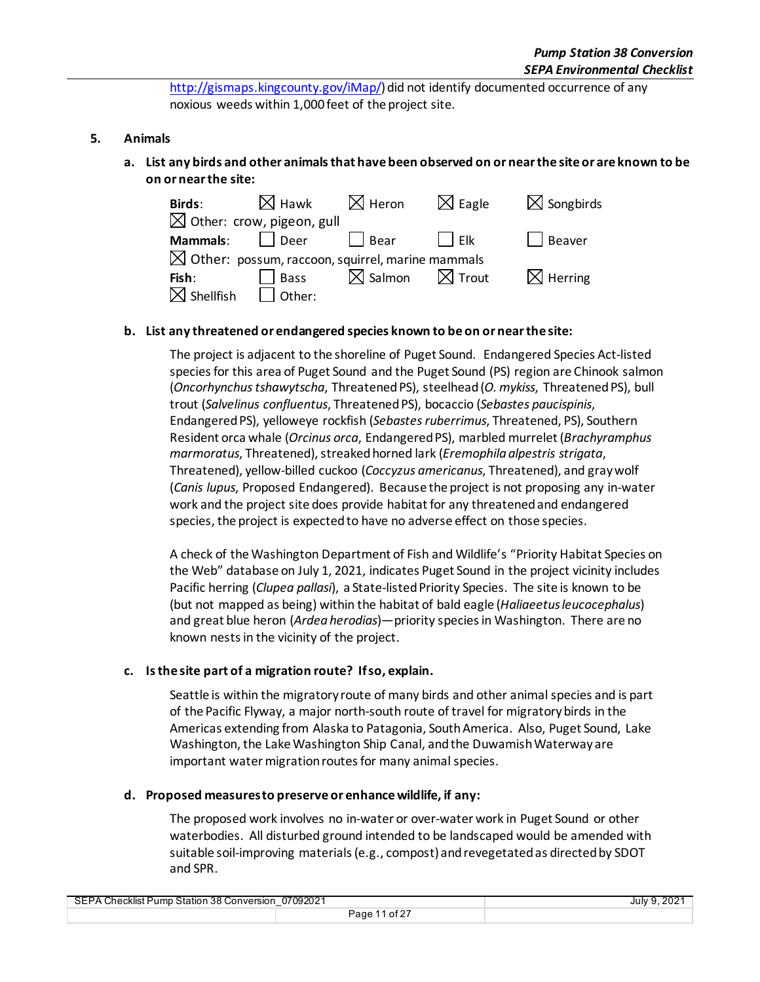[http://gismaps.kingcounty.gov/iMap/\)](http://gismaps.kingcounty.gov/iMap/) did not identify documented occurrence of any noxious weeds within 1,000 feet of the project site.

### **5. Animals**

### **a. List any birds and other animals that have been observed on or near the site or are known to be on or near the site:**

| <b>Birds:</b> | l Hawk                                                       | . Heron     | $\triangleleft$ Eagle | $\sqrt{\ }$ Songbirds |
|---------------|--------------------------------------------------------------|-------------|-----------------------|-----------------------|
|               | $\boxtimes$ Other: crow, pigeon, gull                        |             |                       |                       |
| Mammals:      | Deer                                                         | <b>Bear</b> | Flk                   | Beaver                |
|               | $\boxtimes$ Other: possum, raccoon, squirrel, marine mammals |             |                       |                       |
| Fish:         | <b>Bass</b>                                                  | l Salmon    | $\boxtimes$ Trout     | Herring               |
| hellfish،     | Other:                                                       |             |                       |                       |

### **b. List any threatened or endangered species known to be on or near the site:**

The project is adjacent to the shoreline of Puget Sound. Endangered Species Act-listed species for this area of Puget Sound and the Puget Sound (PS) region are Chinook salmon (*Oncorhynchus tshawytscha*, Threatened PS), steelhead (*O. mykiss*, Threatened PS), bull trout (*Salvelinus confluentus*, Threatened PS), bocaccio (*Sebastes paucispinis*, Endangered PS), yelloweye rockfish (*Sebastes ruberrimus*, Threatened, PS), Southern Resident orca whale (*Orcinus orca*, Endangered PS), marbled murrelet (*Brachyramphus marmoratus*, Threatened), streaked horned lark (*Eremophila alpestris strigata*, Threatened), yellow-billed cuckoo (*Coccyzus americanus*, Threatened), and gray wolf (*Canis lupus*, Proposed Endangered). Because the project is not proposing any in-water work and the project site does provide habitat for any threatened and endangered species, the project is expected to have no adverse effect on those species.

A check of the Washington Department of Fish and Wildlife's "Priority Habitat Species on the Web" database on July 1, 2021, indicates Puget Sound in the project vicinity includes Pacific herring (*Clupea pallasi*), a State-listed Priority Species. The site is known to be (but not mapped as being) within the habitat of bald eagle (*Haliaeetus leucocephalus*) and great blue heron (*Ardea herodias*)—priority species in Washington. There are no known nests in the vicinity of the project.

### **c. Is the site part of a migration route? If so, explain.**

Seattle is within the migratory route of many birds and other animal species and is part of the Pacific Flyway, a major north-south route of travel for migratory birds in the Americas extending from Alaska to Patagonia, South America. Also, Puget Sound, Lake Washington, the Lake Washington Ship Canal, and the Duwamish Waterwayare important water migration routes for many animal species.

#### **d. Proposed measures to preserve or enhance wildlife, if any:**

The proposed work involves no in-water or over-water work in Puget Sound or other waterbodies. All disturbed ground intended to be landscaped would be amended with suitable soil-improving materials (e.g., compost) andrevegetated as directed by SDOT and SPR.

| 07092021<br>SEPA Checklist Pump Station 38 Conversion |                | $202^*$<br>July 9 |
|-------------------------------------------------------|----------------|-------------------|
|                                                       | . of 2<br>~aqe |                   |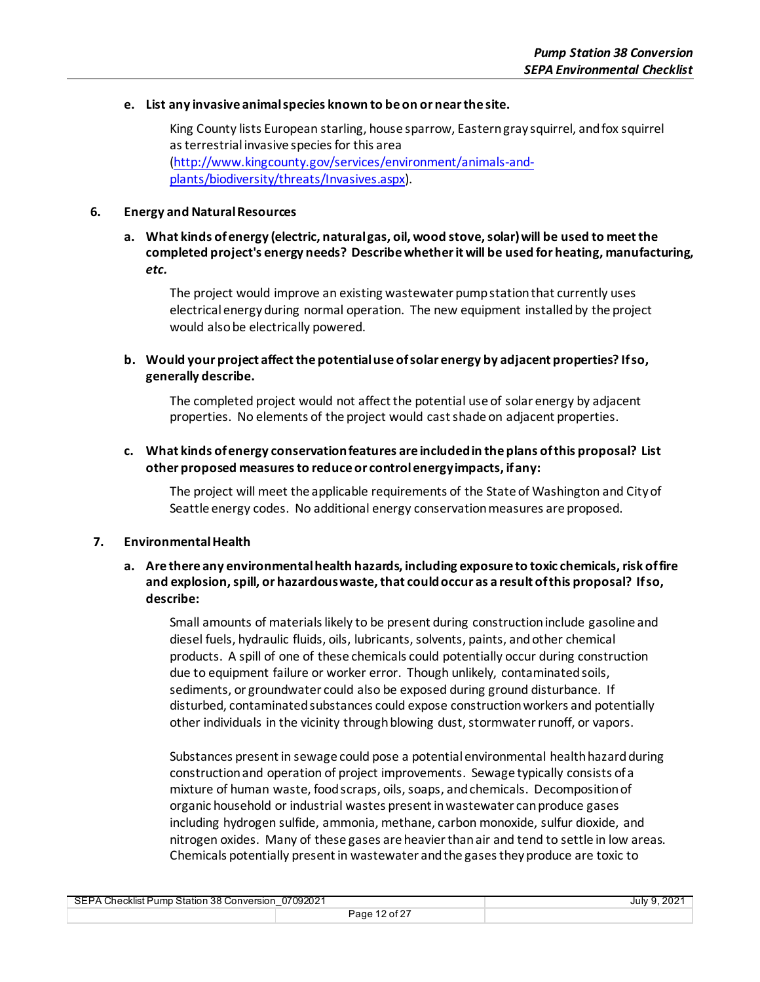#### **e. List any invasive animal species known to be on or near the site.**

King County lists European starling, house sparrow, Eastern gray squirrel, and fox squirrel as terrestrial invasive species for this area [\(http://www.kingcounty.gov/services/environment/animals-and](http://www.kingcounty.gov/services/environment/animals-and-plants/biodiversity/threats/Invasives.aspx)[plants/biodiversity/threats/Invasives.aspx\)](http://www.kingcounty.gov/services/environment/animals-and-plants/biodiversity/threats/Invasives.aspx).

### **6. Energy and Natural Resources**

### **a. What kinds of energy (electric, natural gas, oil, wood stove, solar) will be used to meet the completed project's energy needs? Describe whether it will be used for heating, manufacturing,**  *etc.*

The project would improve an existing wastewater pump station that currently uses electrical energyduring normal operation. The new equipment installed by the project would also be electrically powered.

### **b. Would your project affect the potential use of solar energy by adjacent properties? If so, generally describe.**

The completed project would not affect the potential use of solar energy by adjacent properties. No elements of the project would cast shade on adjacent properties.

### **c. What kinds of energy conservation features are included in the plans of this proposal? List other proposed measures to reduce or control energy impacts, if any:**

The project will meet the applicable requirements of the State of Washington and City of Seattle energy codes. No additional energy conservation measures are proposed.

### **7. Environmental Health**

### **a. Are there any environmental health hazards, including exposure to toxic chemicals, risk of fire and explosion, spill, or hazardous waste, that could occur as a result of this proposal? If so, describe:**

Small amounts of materials likely to be present during construction include gasoline and diesel fuels, hydraulic fluids, oils, lubricants, solvents, paints, and other chemical products. A spill of one of these chemicals could potentially occur during construction due to equipment failure or worker error. Though unlikely, contaminated soils, sediments, or groundwater could also be exposed during ground disturbance. If disturbed, contaminated substances could expose construction workers and potentially other individuals in the vicinity through blowing dust, stormwater runoff, or vapors.

Substances present in sewage could pose a potential environmental health hazard during construction and operation of project improvements. Sewage typically consists of a mixture of human waste, food scraps, oils, soaps, and chemicals. Decomposition of organic household or industrial wastes present in wastewater can produce gases including hydrogen sulfide, ammonia, methane, carbon monoxide, sulfur dioxide, and nitrogen oxides. Many of these gases are heavier than air and tend to settle in low areas. Chemicals potentially present in wastewater and the gases they produce are toxic to

| 07092021<br>SEPA Checklist Pump Station 38 Conversion |                              | $202^*$<br>July 9 |
|-------------------------------------------------------|------------------------------|-------------------|
|                                                       | $\angle$ of 2 $^-$<br>- Page |                   |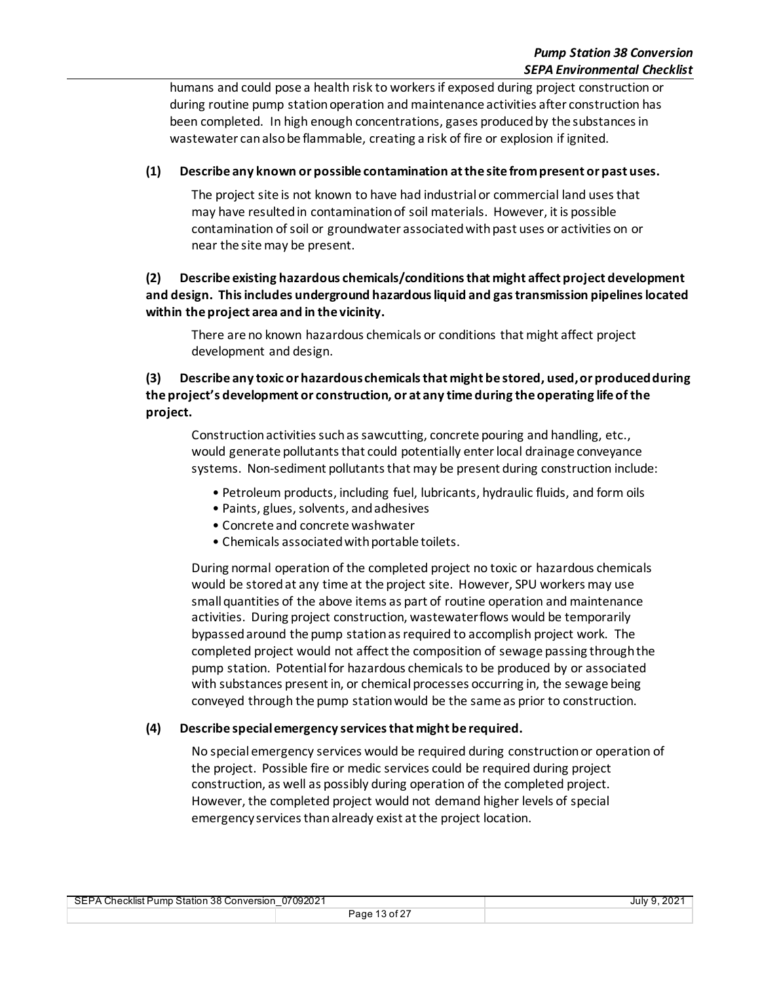humans and could pose a health risk to workers if exposed during project construction or during routine pump station operation and maintenance activities after construction has been completed. In high enough concentrations, gases produced by the substances in wastewater can also be flammable, creating a risk of fire or explosion if ignited.

### **(1) Describe any known or possible contamination at the site from present or past uses.**

The project site is not known to have had industrial or commercial land uses that may have resulted in contamination of soil materials. However, it is possible contamination of soil or groundwater associated with past uses or activities on or near the site may be present.

### **(2) Describe existing hazardous chemicals/conditions that might affect project development and design. This includes underground hazardous liquid and gas transmission pipelines located within the project area and in the vicinity.**

There are no known hazardous chemicals or conditions that might affect project development and design.

### **(3) Describe any toxic or hazardous chemicals that might be stored, used, or produced during the project's development or construction, or at any time during the operating life of the project.**

Construction activities such as sawcutting, concrete pouring and handling, etc., would generate pollutants that could potentially enter local drainage conveyance systems. Non-sediment pollutants that may be present during construction include:

- Petroleum products, including fuel, lubricants, hydraulic fluids, and form oils
- Paints, glues, solvents, and adhesives
- Concrete and concrete washwater
- Chemicals associated with portable toilets.

During normal operation of the completed project no toxic or hazardous chemicals would be stored at any time at the project site. However, SPU workers may use small quantities of the above items as part of routine operation and maintenance activities. During project construction, wastewater flows would be temporarily bypassed around the pump station as required to accomplish project work. The completed project would not affect the composition of sewage passing through the pump station. Potential for hazardous chemicals to be produced by or associated with substances present in, or chemical processes occurring in, the sewage being conveyed through the pump station would be the same as prior to construction.

### **(4) Describe special emergency services that might be required.**

No special emergency services would be required during construction or operation of the project. Possible fire or medic services could be required during project construction, as well as possibly during operation of the completed project. However, the completed project would not demand higher levels of special emergency services than already exist at the project location.

| SEPA Checklist Pump Station 38 Conversion 07092021 |               | July 9, 2021 |
|----------------------------------------------------|---------------|--------------|
|                                                    | Page 13 of 27 |              |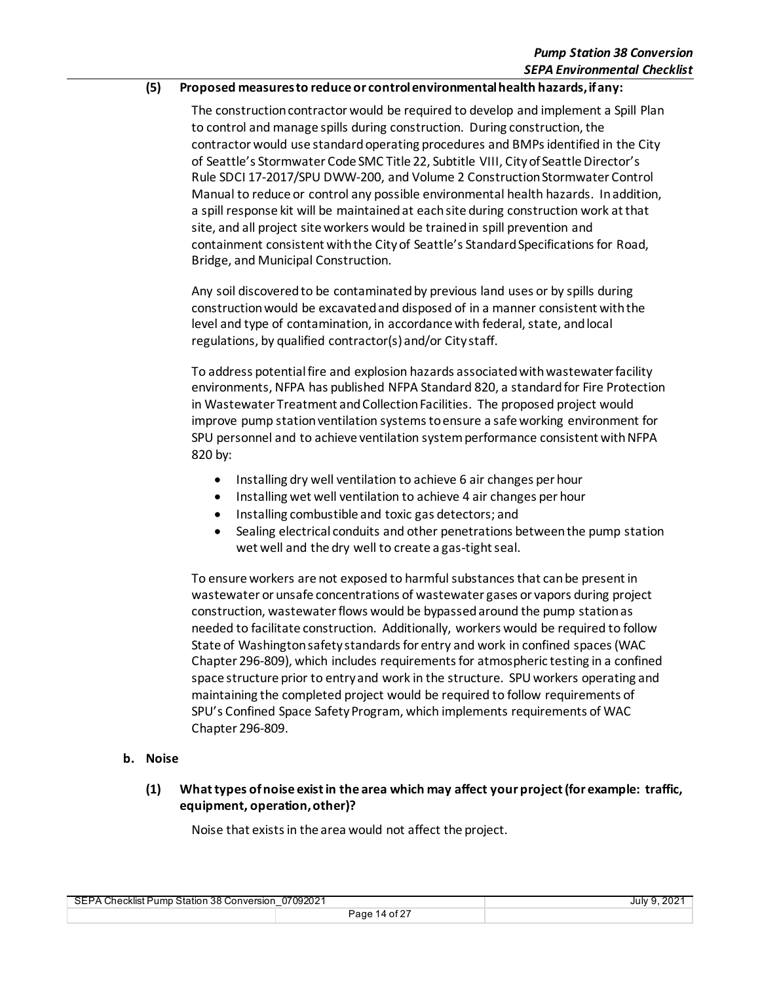#### **(5) Proposed measures to reduce or control environmental health hazards, if any:**

The construction contractor would be required to develop and implement a Spill Plan to control and manage spills during construction. During construction, the contractor would use standard operating procedures and BMPs identified in the City of Seattle's Stormwater Code SMC Title 22, Subtitle VIII, City of Seattle Director's Rule SDCI 17-2017/SPU DWW-200, and Volume 2 Construction Stormwater Control Manual to reduce or control any possible environmental health hazards. In addition, a spill response kit will be maintained at each site during construction work at that site, and all project site workers would be trained in spill prevention and containment consistent with the City of Seattle's Standard Specifications for Road, Bridge, and Municipal Construction.

Any soil discovered to be contaminated by previous land uses or by spills during construction would be excavated and disposed of in a manner consistent with the level and type of contamination, in accordance with federal, state, and local regulations, by qualified contractor(s) and/or City staff.

To address potential fire and explosion hazards associated with wastewater facility environments, NFPA has published NFPA Standard 820, a standard for Fire Protection in Wastewater Treatment and Collection Facilities. The proposed project would improve pump station ventilation systems to ensure a safe working environment for SPU personnel and to achieve ventilation system performance consistent with NFPA 820 by:

- Installing dry well ventilation to achieve 6 air changes per hour
- Installing wet well ventilation to achieve 4 air changes per hour
- Installing combustible and toxic gas detectors; and
- Sealing electrical conduits and other penetrations between the pump station wet well and the dry well to create a gas-tight seal.

To ensure workers are not exposed to harmful substances that can be present in wastewater or unsafe concentrations of wastewater gases or vapors during project construction, wastewater flows would be bypassed around the pump station as needed to facilitate construction. Additionally, workers would be required to follow State of Washington safety standards for entry and work in confined spaces (WAC Chapter 296-809), which includes requirements for atmospheric testing in a confined space structure prior to entry and work in the structure. SPU workers operating and maintaining the completed project would be required to follow requirements of SPU's Confined Space Safety Program, which implements requirements of WAC Chapter 296-809.

### **b. Noise**

**(1) What types of noise exist in the area which may affect your project (for example: traffic, equipment, operation, other)?**

Noise that exists in the area would not affect the project.

| 07092021<br>SEPA Checklist Pump Station 38 Conversion |               | July 9, 2021 |
|-------------------------------------------------------|---------------|--------------|
|                                                       | Page 14 of 27 |              |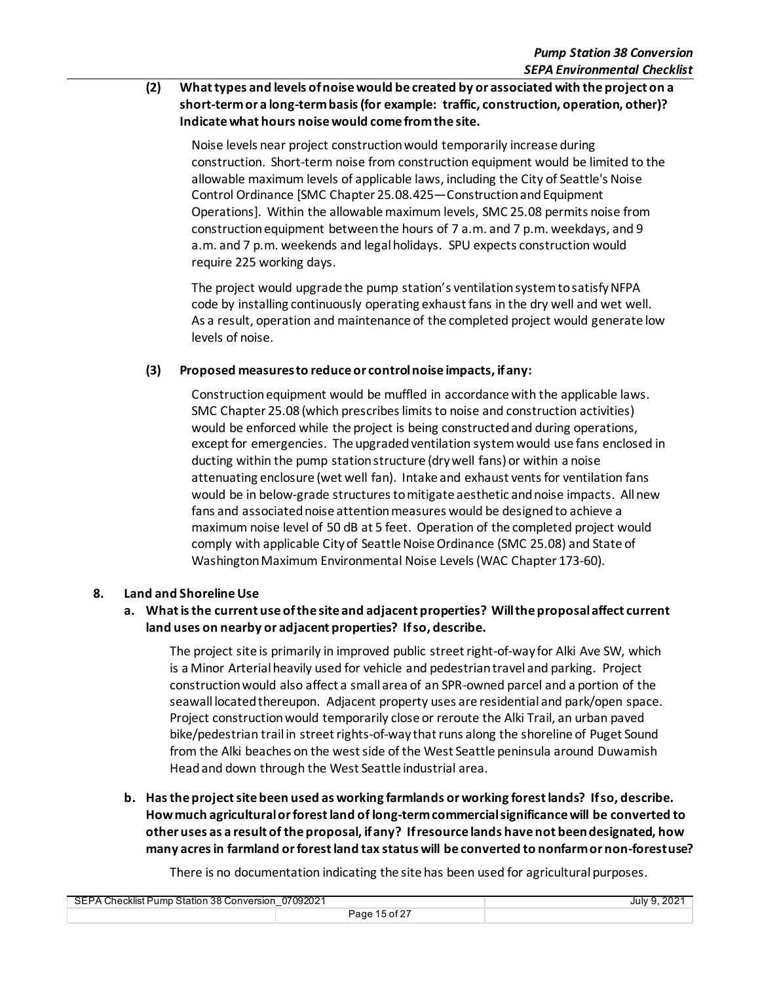### **(2) What types and levels of noise would be created by or associated with the project on a short-termor a long-term basis (for example: traffic, construction, operation, other)? Indicate what hours noise would come from the site.**

Noise levels near project construction would temporarily increase during construction. Short-term noise from construction equipment would be limited to the allowable maximum levels of applicable laws, including the City of Seattle's Noise Control Ordinance [SMC Chapter 25.08.425—Construction and Equipment Operations]. Within the allowable maximum levels, SMC 25.08 permits noise from construction equipment between the hours of 7 a.m. and 7 p.m. weekdays, and 9 a.m. and 7 p.m. weekends and legal holidays. SPU expects construction would require 225 working days.

The project would upgrade the pump station's ventilation system to satisfy NFPA code by installing continuously operating exhaust fans in the dry well and wet well. As a result, operation and maintenance of the completed project would generate low levels of noise.

### **(3) Proposed measures to reduce or control noise impacts, if any:**

Construction equipment would be muffled in accordance with the applicable laws. SMC Chapter 25.08 (which prescribes limits to noise and construction activities) would be enforced while the project is being constructed and during operations, except for emergencies. The upgraded ventilation systemwould use fans enclosed in ducting within the pump station structure (dry well fans) or within a noise attenuating enclosure (wet well fan). Intake and exhaust vents for ventilation fans would be in below-grade structures to mitigate aesthetic and noise impacts. All new fans and associated noise attention measures would be designed to achieve a maximum noise level of 50 dB at 5 feet. Operation of the completed project would comply with applicable City of Seattle Noise Ordinance (SMC 25.08) and State of Washington Maximum Environmental Noise Levels (WAC Chapter 173-60).

### **8. Land and Shoreline Use**

### **a. What is the current use of the site and adjacent properties? Will the proposal affect current land uses on nearby or adjacent properties? If so, describe.**

The project site is primarily in improved public street right-of-way for Alki Ave SW, which is a Minor Arterial heavily used for vehicle and pedestrian travel and parking. Project construction would also affect a small area of an SPR-owned parcel and a portion of the seawall located thereupon. Adjacent property uses are residential and park/open space. Project construction would temporarily close or reroute the Alki Trail, an urban paved bike/pedestrian trail in street rights-of-way that runs along the shoreline of Puget Sound from the Alki beaches on the west side of the West Seattle peninsula around Duwamish Headand down through the West Seattle industrial area.

**b. Has the project site been used as working farmlands or working forest lands? If so, describe. How much agricultural or forest land of long-term commercial significance will be converted to other uses as a result of the proposal, if any? If resource lands have not been designated, how many acres in farmland or forest land tax status will be converted to nonfarm or non-forest use?**

There is no documentation indicating the site has been used for agricultural purposes.

| SEPA Checklist Pump Station 38 Conversion 07092021 |               | July 9, 2021 |
|----------------------------------------------------|---------------|--------------|
|                                                    | Page 15 of 27 |              |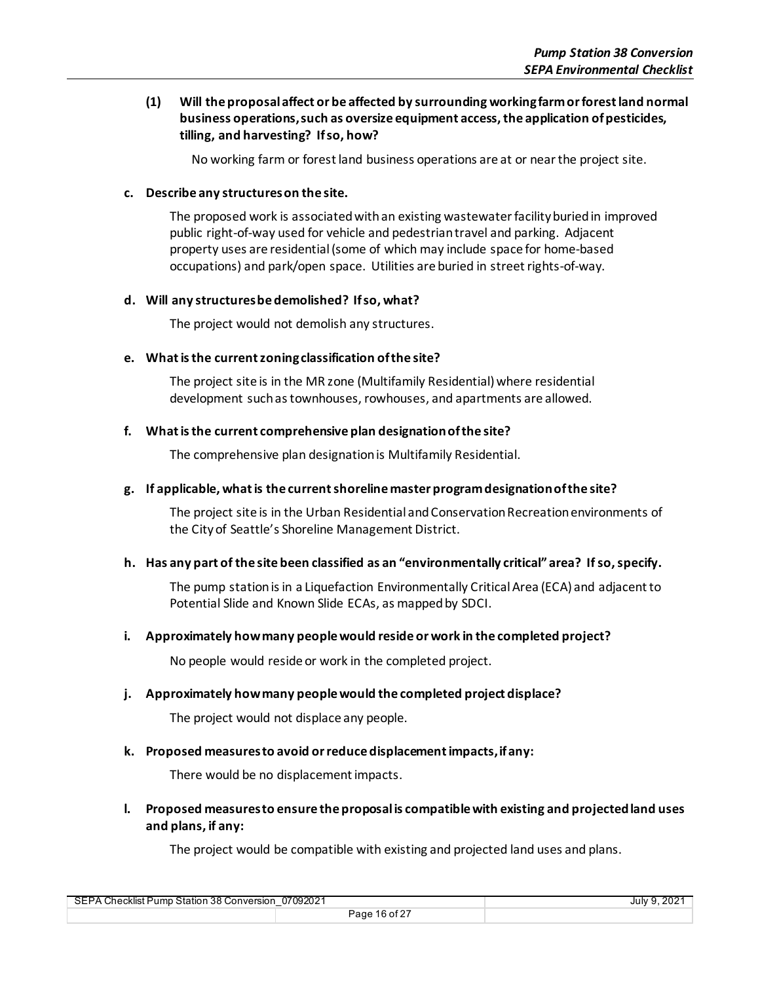### **(1) Will the proposal affect or be affected by surrounding working farm or forest land normal business operations, such as oversize equipment access, the application of pesticides, tilling, and harvesting? If so, how?**

No working farm or forest land business operations are at or near the project site.

#### **c. Describe any structures on the site.**

The proposed work is associated with an existing wastewater facilityburied in improved public right-of-way used for vehicle and pedestrian travel and parking. Adjacent property uses are residential (some of which may include space for home-based occupations) and park/open space. Utilities are buried in street rights-of-way.

#### **d. Will any structures be demolished? If so, what?**

The project would not demolish any structures.

#### **e. What is the current zoning classification of the site?**

The project site is in the MR zone (Multifamily Residential) where residential development such as townhouses, rowhouses, and apartments are allowed.

#### **f. What is the current comprehensive plan designation of the site?**

The comprehensive plan designation is Multifamily Residential.

#### **g. If applicable, what is the current shoreline master program designation of the site?**

The project site is in the Urban Residential and Conservation Recreation environments of the Cityof Seattle's Shoreline Management District.

### **h. Has any part of the site been classified as an "environmentally critical" area? If so, specify.**

The pump station is in a Liquefaction Environmentally Critical Area (ECA) and adjacent to Potential Slide and Known Slide ECAs, as mapped by SDCI.

#### **i. Approximately how many people would reside or work in the completed project?**

No people would reside or work in the completed project.

#### **j. Approximately how many people would the completed project displace?**

The project would not displace any people.

#### **k. Proposed measures to avoid or reduce displacement impacts, if any:**

There would be no displacement impacts.

**l. Proposed measures to ensure the proposal is compatible with existing and projected land uses and plans, if any:**

The project would be compatible with existing and projected land uses and plans.

| 07092021                                  |               | .202 <sup>°</sup> |
|-------------------------------------------|---------------|-------------------|
| SEPA Checklist Pump Station 38 Conversion |               | July 9            |
|                                           | Page 16 of 27 |                   |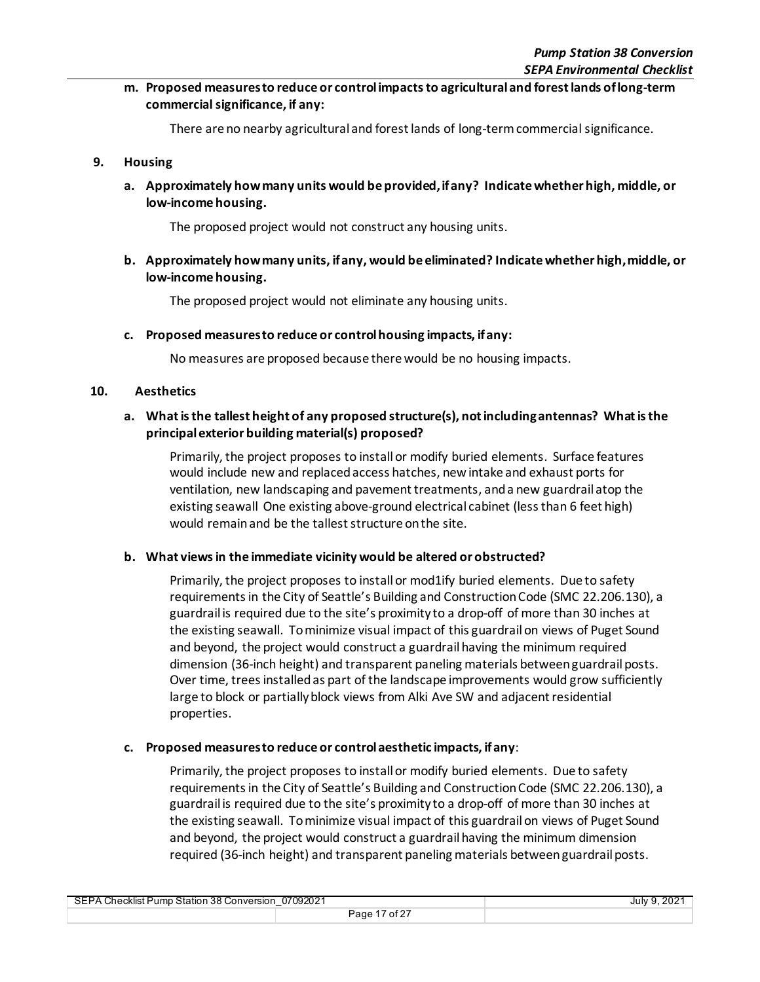**m. Proposed measures to reduce or control impacts to agricultural and forest lands of long-term commercial significance, if any:**

There are no nearby agricultural and forest lands of long-term commercial significance.

#### **9. Housing**

**a. Approximately how many units would be provided, if any? Indicate whether high, middle, or low-income housing.**

The proposed project would not construct any housing units.

**b. Approximately how many units, if any, would be eliminated? Indicate whether high, middle, or low-income housing.**

The proposed project would not eliminate any housing units.

#### **c. Proposed measures to reduce or control housing impacts, if any:**

No measures are proposed because there would be no housing impacts.

#### **10. Aesthetics**

### **a. What is the tallest height of any proposed structure(s), not including antennas? What is the principal exterior building material(s) proposed?**

Primarily, the project proposes to install or modify buried elements. Surface features would include new and replaced access hatches, newintake and exhaust ports for ventilation, new landscaping and pavement treatments, and a new guardrail atop the existing seawall One existing above-ground electrical cabinet (less than 6 feet high) would remain and be the tallest structure on the site.

#### **b. What views in the immediate vicinity would be altered or obstructed?**

Primarily, the project proposes to install or mod1ify buried elements. Due to safety requirements in the City of Seattle's Building and Construction Code (SMC 22.206.130), a guardrail is required due to the site's proximity to a drop-off of more than 30 inches at the existing seawall. To minimize visual impact of this guardrailon views of Puget Sound and beyond, the project would construct a guardrail having the minimum required dimension (36-inch height) and transparent paneling materials between guardrail posts. Over time, trees installed as part of the landscape improvements would grow sufficiently large to block or partially block views from Alki Ave SW and adjacent residential properties.

#### **c. Proposed measures to reduce or control aesthetic impacts, if any**:

Primarily, the project proposes to install or modify buried elements. Due to safety requirements in the City of Seattle's Building and Construction Code (SMC 22.206.130), a guardrail is required due to the site's proximity to a drop-off of more than 30 inches at the existing seawall. To minimize visual impact of this guardrailon views of Puget Sound and beyond, the project would construct a guardrail having the minimum dimension required (36-inch height) and transparent paneling materials between guardrail posts.

| 07092021<br>SEPA Checklist Pump Station 38 Conversion |               | July 9, 2021 |
|-------------------------------------------------------|---------------|--------------|
|                                                       | Page 17 of 27 |              |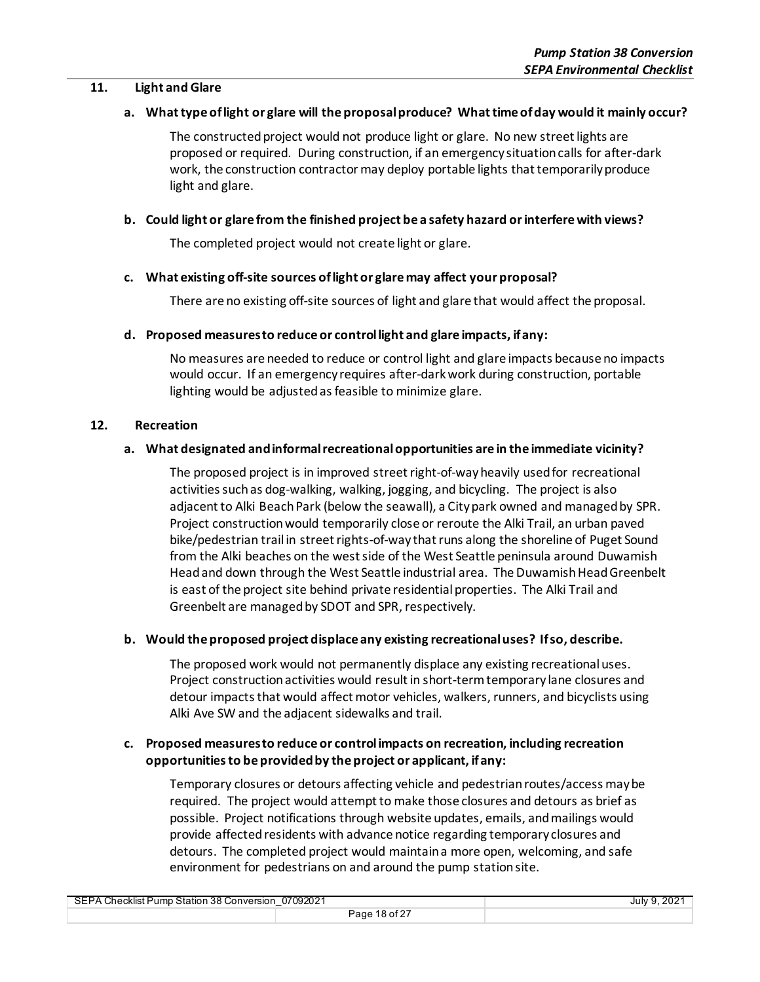#### **11. Light and Glare**

#### **a. What type of light or glare will the proposal produce? What time of day would it mainly occur?**

The constructed project would not produce light or glare. No new street lights are proposed or required. During construction, if an emergency situation calls for after-dark work, the construction contractor may deploy portable lights that temporarily produce light and glare.

#### **b. Could light or glare from the finished project be a safety hazard or interfere with views?**

The completed project would not create light or glare.

#### **c. What existing off-site sources of light or glare may affect your proposal?**

There are no existing off-site sources of light and glare that would affect the proposal.

#### **d. Proposed measures to reduce or control light and glare impacts, if any:**

No measures are needed to reduce or control light and glare impacts because no impacts would occur. If an emergency requires after-dark work during construction, portable lighting would be adjusted as feasible to minimize glare.

#### **12. Recreation**

#### **a. What designated and informal recreational opportunities are in the immediate vicinity?**

The proposed project is in improved street right-of-way heavily used for recreational activities such as dog-walking, walking, jogging, and bicycling. The project is also adjacent to Alki Beach Park (below the seawall), a City park owned and managed by SPR. Project construction would temporarily close or reroute the Alki Trail, an urban paved bike/pedestrian trail in street rights-of-way that runs along the shoreline of Puget Sound from the Alki beaches on the west side of the West Seattle peninsula around Duwamish Head and down through the West Seattle industrial area. The Duwamish Head Greenbelt is east of the project site behind private residential properties. The Alki Trail and Greenbelt are managed by SDOT and SPR, respectively.

#### **b. Would the proposed project displace any existing recreational uses? If so, describe.**

The proposed work would not permanently displace any existing recreational uses. Project construction activities would result in short-term temporary lane closures and detour impacts that would affect motor vehicles, walkers, runners, and bicyclists using Alki Ave SW and the adjacent sidewalks and trail.

### **c. Proposed measures to reduce or control impacts on recreation, including recreation opportunities to be provided by the project or applicant, if any:**

Temporary closures or detours affecting vehicle and pedestrian routes/access may be required. The project would attempt to make those closures and detours as brief as possible. Project notifications through website updates, emails, and mailings would provide affected residents with advance notice regarding temporary closures and detours. The completed project would maintain a more open, welcoming, and safe environment for pedestrians on and around the pump station site.

| 07092021<br>SEPA Checklist Pump Station 38 Conversion<br>_ |               | July 9, 2021 |
|------------------------------------------------------------|---------------|--------------|
|                                                            | Page 18 of 27 |              |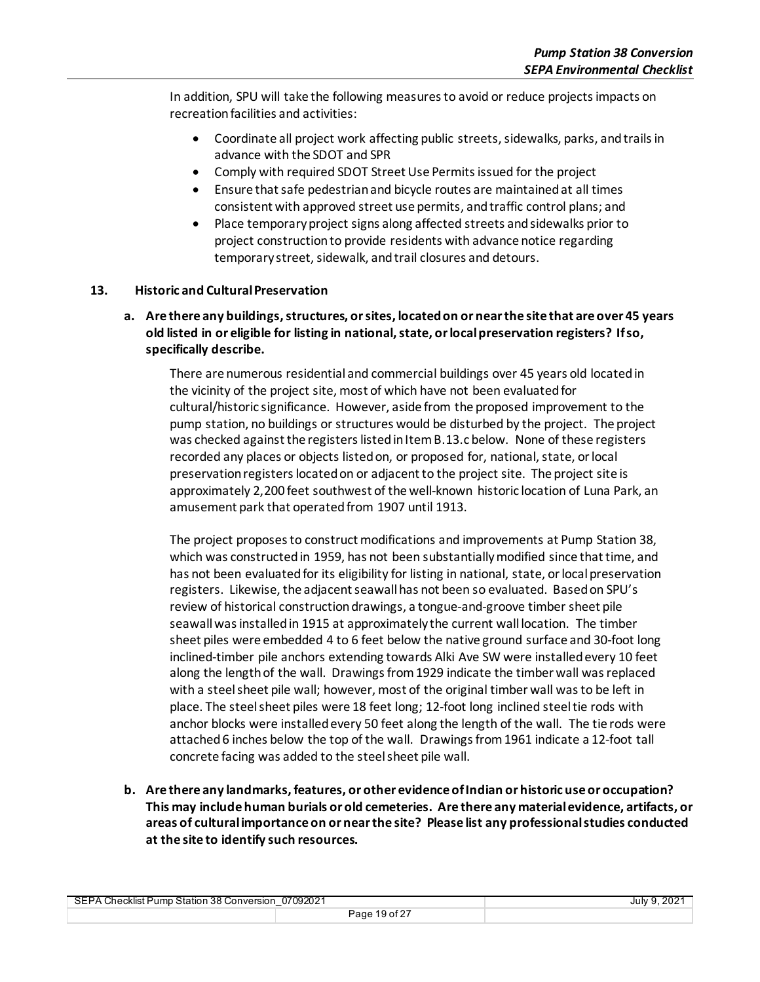In addition, SPU will take the following measures to avoid or reduce projects impacts on recreation facilities and activities:

- Coordinate all project work affecting public streets, sidewalks, parks, and trails in advance with the SDOT and SPR
- Comply with required SDOT Street Use Permits issued for the project
- Ensure that safe pedestrian and bicycle routes are maintained at all times consistent with approved street use permits, and traffic control plans; and
- Place temporary project signs along affected streets and sidewalks prior to project construction to provide residents with advance notice regarding temporary street, sidewalk, and trail closures and detours.

### **13. Historic and Cultural Preservation**

**a. Are there any buildings, structures, or sites, located on or near the site that are over 45 years old listed in or eligible for listing in national, state, or local preservation registers? If so, specifically describe.**

There are numerous residential and commercial buildings over 45 years old located in the vicinity of the project site, most of which have not been evaluated for cultural/historic significance. However, aside from the proposed improvement to the pump station, no buildings or structures would be disturbed by the project. The project was checked against the registers listed in Item B.13.c below. None of these registers recorded any places or objects listed on, or proposed for, national, state, or local preservation registers located on or adjacent to the project site. The project site is approximately 2,200 feet southwest of the well-known historic location of Luna Park, an amusement park that operated from 1907 until 1913.

The project proposes to construct modifications and improvements at Pump Station 38, which was constructed in 1959, has not been substantially modified since that time, and has not been evaluated for its eligibility for listing in national, state, or local preservation registers. Likewise, the adjacent seawall has not been so evaluated. Based on SPU's review of historical construction drawings, a tongue-and-groove timber sheet pile seawall was installed in 1915 at approximately the current wall location. The timber sheet piles were embedded 4 to 6 feet below the native ground surface and 30-foot long inclined-timber pile anchors extending towards Alki Ave SW were installed every 10 feet along the length of the wall. Drawings from 1929 indicate the timber wall was replaced with a steel sheet pile wall; however, most of the original timber wall was to be left in place. The steel sheet piles were 18 feet long; 12-foot long inclined steel tie rods with anchor blocks were installed every 50 feet along the length of the wall. The tie rods were attached 6 inches below the top of the wall. Drawings from 1961 indicate a 12-foot tall concrete facing was added to the steelsheet pile wall.

**b. Are there any landmarks, features, or other evidence of Indian or historic use or occupation? This may include human burials or old cemeteries. Are there any material evidence, artifacts, or areas of cultural importance on or near the site? Please list any professional studies conducted at the site to identify such resources.**

| SEPA Checklist Pump Station 38 Conversion 07092021 |               | July 9, 2021 |
|----------------------------------------------------|---------------|--------------|
|                                                    | Page 19 of 27 |              |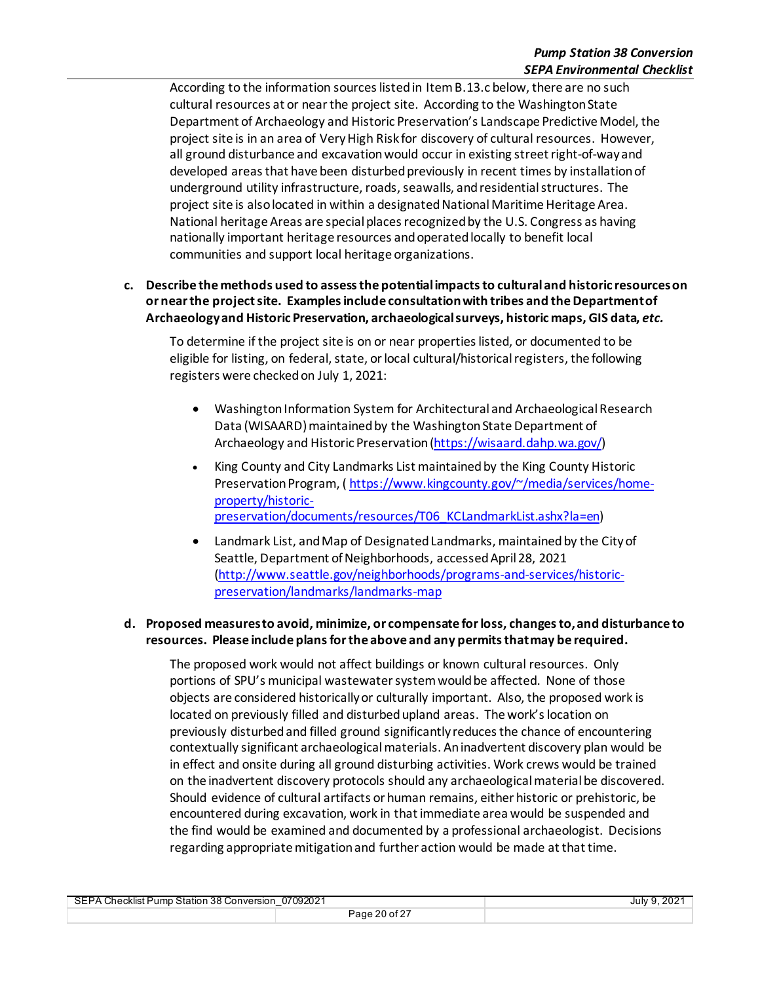According to the information sources listed in Item B.13.c below, there are no such cultural resources at or near the project site. According to the Washington State Department of Archaeology and Historic Preservation's Landscape Predictive Model, the project site is in an area of Very High Risk for discovery of cultural resources. However, all ground disturbance and excavation would occur in existing street right-of-way and developed areas that have been disturbed previously in recent times by installation of underground utility infrastructure, roads,seawalls, and residential structures. The project site is also located in within a designated National Maritime Heritage Area. National heritage Areas are special places recognized by the U.S. Congress as having nationally important heritage resources andoperated locally to benefit local communities and support local heritage organizations.

### **c. Describe the methods used to assess the potential impacts to cultural and historic resources on or near the project site. Examples include consultation with tribes and the Department of Archaeology and Historic Preservation, archaeological surveys, historic maps, GIS data,** *etc.*

To determine if the project site is on or near properties listed, or documented to be eligible for listing, on federal, state, or local cultural/historical registers, the following registers were checked on July 1, 2021:

- Washington Information System for Architectural and Archaeological Research Data (WISAARD) maintained by the Washington State Department of Archaeology and Historic Preservation [\(https://wisaard.dahp.wa.gov/\)](https://wisaard.dahp.wa.gov/)
- King County and City Landmarks List maintained by the King County Historic Preservation Program, (https://www.kingcounty.gov/~/media/services/home[property/historic](https://www.kingcounty.gov/%7E/media/services/home-property/historic-preservation/documents/resources/T06_KCLandmarkList.ashx?la=en)[preservation/documents/resources/T06\\_KCLandmarkList.ashx?la=en\)](https://www.kingcounty.gov/%7E/media/services/home-property/historic-preservation/documents/resources/T06_KCLandmarkList.ashx?la=en)
- Landmark List, and Map of Designated Landmarks, maintained by the City of Seattle, Department of Neighborhoods, accessed April 28, 2021 [\(http://www.seattle.gov/neighborhoods/programs-and-services/historic](http://www.seattle.gov/neighborhoods/programs-and-services/historic-preservation/landmarks/landmarks-map)[preservation/landmarks/landmarks-map](http://www.seattle.gov/neighborhoods/programs-and-services/historic-preservation/landmarks/landmarks-map)

### **d. Proposed measures to avoid, minimize, or compensate for loss, changes to, and disturbance to resources. Please include plans for the above and any permits that may be required.**

The proposed work would not affect buildings or known cultural resources. Only portions of SPU's municipal wastewater system would be affected. None of those objects are considered historically or culturally important. Also, the proposed work is located on previously filled and disturbedupland areas. The work's location on previously disturbed and filled ground significantly reduces the chance of encountering contextually significant archaeological materials. An inadvertent discovery plan would be in effect and onsite during all ground disturbing activities. Work crews would be trained on the inadvertent discovery protocols should any archaeological materialbe discovered. Should evidence of cultural artifacts or human remains, either historic or prehistoric, be encountered during excavation, work in that immediate area would be suspended and the find would be examined and documented by a professional archaeologist. Decisions regarding appropriate mitigation and further action would be made at that time.

SEPA Checklist Pump Station 38 Conversion\_07092021 July 9, 2021 Page 20 of 27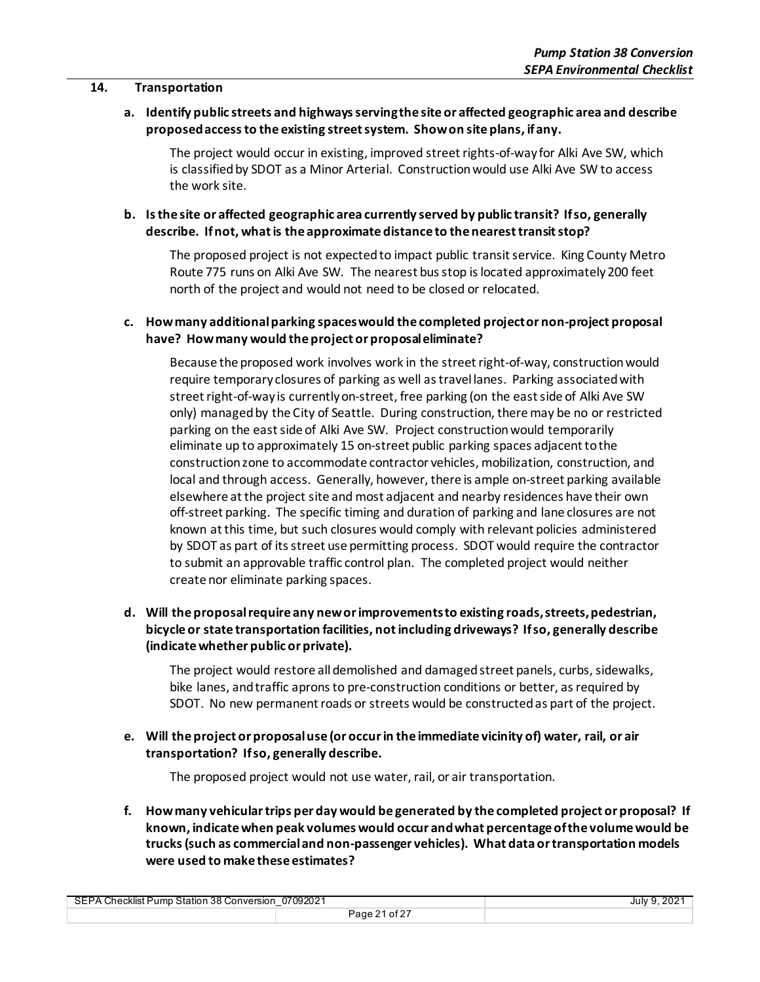#### **14. Transportation**

**a. Identify public streets and highways serving the site or affected geographic area and describe proposed access to the existing street system. Show on site plans, if any.**

The project would occur in existing, improved street rights-of-way for Alki Ave SW, which is classified by SDOT as a Minor Arterial. Construction would use Alki Ave SW to access the work site.

### **b. Is the site or affected geographic area currently served by public transit? If so, generally describe. If not, what is the approximate distance to the nearest transit stop?**

The proposed project is not expected to impact public transit service. King County Metro Route 775 runs on Alki Ave SW. The nearest bus stop islocated approximately 200 feet north of the project and would not need to be closed or relocated.

### **c. How many additional parking spaces would the completed project or non-project proposal have? How many would the project or proposal eliminate?**

Because the proposed work involves work in the street right-of-way, construction would require temporary closures of parking as well as travel lanes. Parking associated with street right-of-way is currently on-street, free parking (on the east side of Alki Ave SW only) managed by the City of Seattle. During construction, there may be no or restricted parking on the east side of Alki Ave SW. Project construction would temporarily eliminate up to approximately 15 on-street public parking spaces adjacent to the construction zone to accommodate contractor vehicles, mobilization, construction, and local and through access. Generally, however, there is ample on-street parking available elsewhere at the project site and most adjacent and nearby residences have their own off-street parking. The specific timing and duration of parking and lane closures are not known at this time, but such closures would comply with relevant policies administered by SDOT as part of its street use permitting process. SDOT would require the contractor to submit an approvable traffic control plan. The completed project would neither create nor eliminate parking spaces.

### **d. Will the proposal require any new or improvements to existing roads, streets, pedestrian, bicycle or state transportation facilities, not including driveways? If so, generally describe (indicate whether public or private).**

The project would restore all demolished and damaged street panels, curbs, sidewalks, bike lanes, and traffic aprons to pre-construction conditions or better, as required by SDOT. No new permanent roads or streets would be constructed as part of the project.

**e. Will the project or proposal use (or occur in the immediate vicinity of) water, rail, or air transportation? If so, generally describe.**

The proposed project would not use water, rail, or air transportation.

**f. How many vehicular trips per day would be generated by the completed project or proposal? If known, indicate when peak volumes would occur and what percentage of the volume would be trucks (such as commercial and non-passenger vehicles). What data or transportation models were used to make these estimates?**

| 07092021<br><b>SEPA Checklist Pump Station 38 Conversion</b> |               | July 9, 202 |
|--------------------------------------------------------------|---------------|-------------|
|                                                              | Page 21 of 27 |             |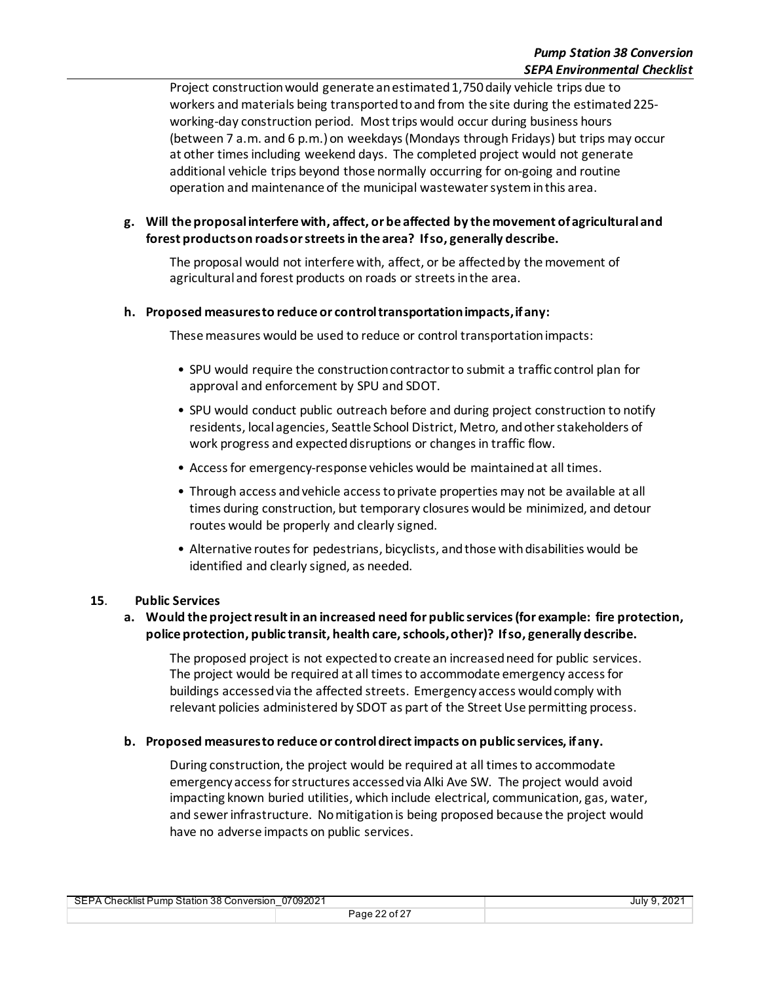Project construction would generate an estimated 1,750 daily vehicle trips due to workers and materials being transported to and from the site during the estimated 225 working-day construction period. Most trips would occur during business hours (between 7 a.m. and 6 p.m.) on weekdays (Mondays through Fridays) but trips may occur at other times including weekend days. The completed project would not generate additional vehicle trips beyond those normally occurring for on-going and routine operation and maintenance of the municipal wastewatersystem in this area.

### **g. Will the proposal interfere with, affect, or be affected by the movement of agricultural and forest products on roads or streets in the area? If so, generally describe.**

The proposal would not interfere with, affect, or be affected by the movement of agricultural and forest products on roads or streets in the area.

#### **h. Proposed measures to reduce or control transportation impacts, if any:**

Thesemeasures would be used to reduce or control transportation impacts:

- SPU would require the construction contractor to submit a traffic control plan for approval and enforcement by SPU and SDOT.
- SPU would conduct public outreach before and during project construction to notify residents, local agencies, Seattle School District, Metro, and other stakeholders of work progress and expected disruptions or changes in traffic flow.
- Access for emergency-response vehicles would be maintained at all times.
- Through access and vehicle access to private properties may not be available at all times during construction, but temporary closures would be minimized, and detour routes would be properly and clearly signed.
- Alternative routes for pedestrians, bicyclists, and those with disabilities would be identified and clearly signed, as needed.

### **15**. **Public Services**

### **a. Would the project result in an increased need for public services (for example: fire protection, police protection, public transit, health care, schools, other)? If so, generally describe.**

The proposed project is not expected to create an increased need for public services. The project would be required at all times to accommodate emergency access for buildings accessed via the affected streets. Emergency access would comply with relevant policies administered by SDOT as part of the Street Use permitting process.

### **b. Proposed measures to reduce or control direct impacts on public services, if any.**

During construction, the project would be required at all times to accommodate emergency access for structures accessed via Alki Ave SW. The project would avoid impacting known buried utilities, which include electrical, communication, gas, water, and sewerinfrastructure. No mitigation is being proposed because the project would have no adverse impacts on public services.

SEPA Checklist Pump Station 38 Conversion\_07092021 July 9, 2021 Page 22 of 27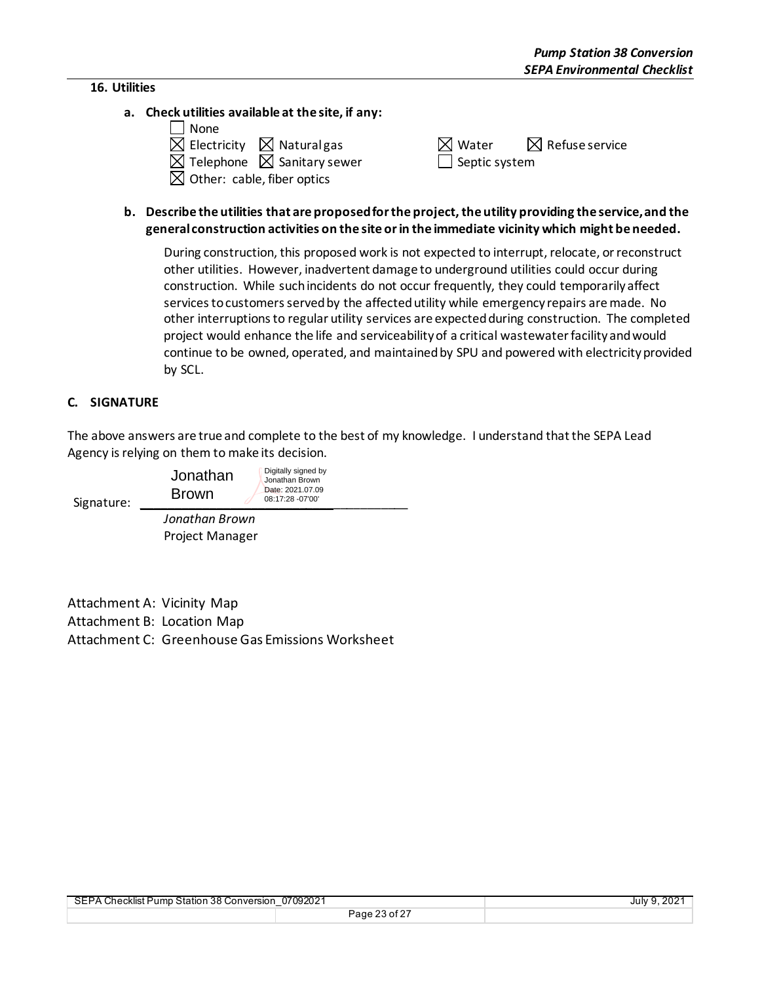#### **16. Utilities**

**a. Check utilities available at the site, if any:**

| l l None                                         |                                                 |  |
|--------------------------------------------------|-------------------------------------------------|--|
| $\boxtimes$ Electricity $\boxtimes$ Naturalgas   | $\boxtimes$ Water<br>$\boxtimes$ Refuse service |  |
| $\boxtimes$ Telephone $\boxtimes$ Sanitary sewer | $\Box$ Septic system                            |  |
| $\boxtimes$ Other: cable, fiber optics           |                                                 |  |

### **b. Describe the utilities that are proposed for the project, the utility providing the service, and the general construction activities on the site or in the immediate vicinity which might be needed.**

During construction, this proposed work is not expected to interrupt, relocate, or reconstruct other utilities. However, inadvertent damage to underground utilities could occur during construction. While such incidents do not occur frequently, they could temporarily affect services to customers served by the affected utility while emergency repairs are made. No other interruptions to regular utility services are expected during construction. The completed project would enhance the life and serviceability of a critical wastewater facility and would continue to be owned, operated, and maintained by SPU and powered with electricity provided by SCL.

### **C. SIGNATURE**

The above answers are true and complete to the best of my knowledge. I understand that the SEPA Lead Agency is relying on them to make its decision.

| Signature: | Jonathan<br><b>Brown</b> | Digitally signed by<br>Jonathan Brown<br>Date: 2021.07.09<br>08:17:28 -07'00' |
|------------|--------------------------|-------------------------------------------------------------------------------|
|            | متنتمين فسيمط استمداد    |                                                                               |

*Jonathan Brown* Project Manager

Attachment A: Vicinity Map Attachment B: Location Map Attachment C: Greenhouse Gas Emissions Worksheet

| SEPA Checklist Pump Station 38 Conversion 07092021 |               | July 9, 2021 |
|----------------------------------------------------|---------------|--------------|
|                                                    | Page 23 of 27 |              |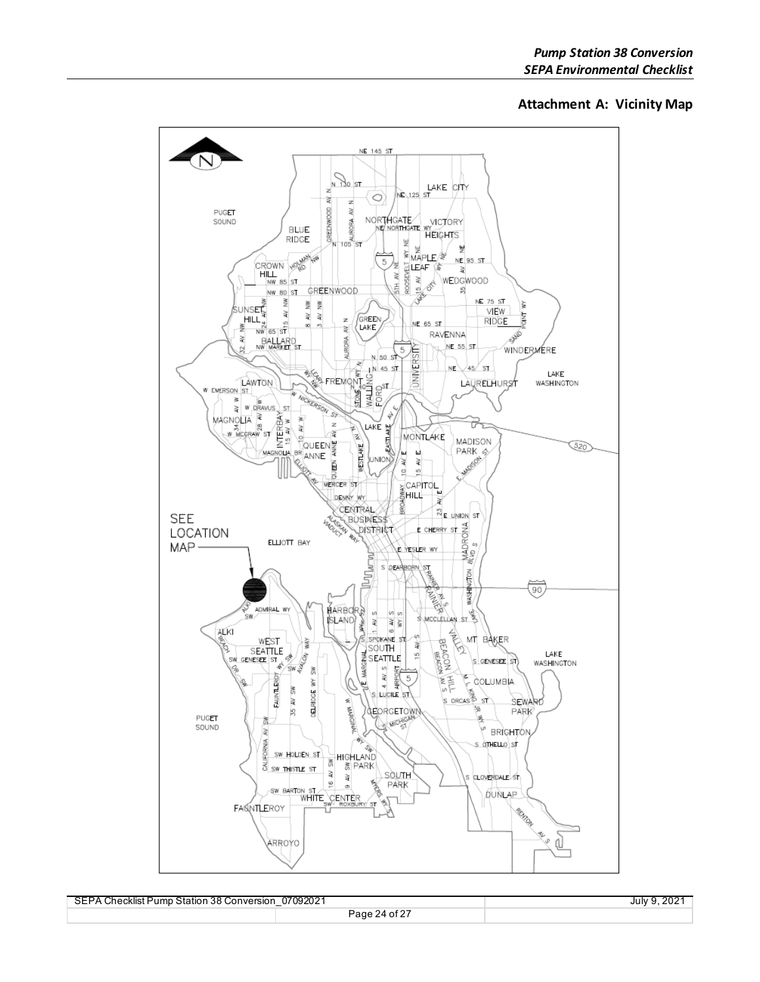#### **Attachment A: Vicinity Map**



| <b>SEPA</b><br>A Checklist Pump Station 38 Conversion | 07092021              | $202^{\circ}$<br>July 9 |
|-------------------------------------------------------|-----------------------|-------------------------|
|                                                       | . of 27<br>9Δ<br>ane' |                         |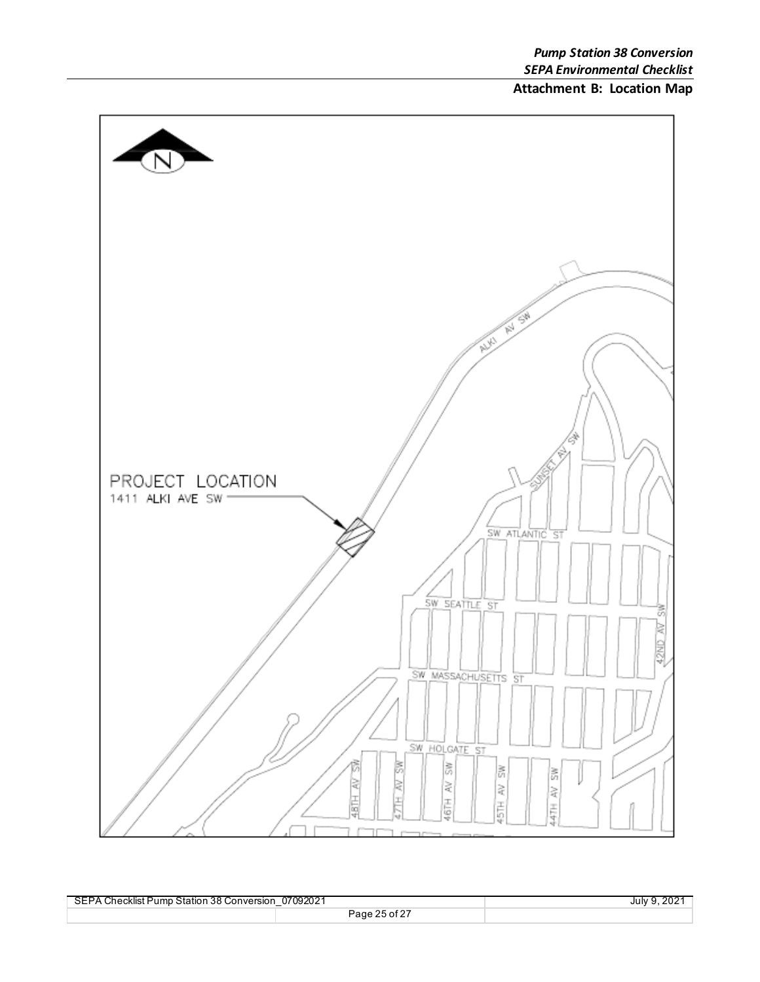# **Attachment B: Location Map**



| SEPA Checklist Pump Station 38 Conversion | 07092021<br>$\overline{\phantom{0}}$ | July 9 |
|-------------------------------------------|--------------------------------------|--------|
|                                           | Page 25 of 27                        |        |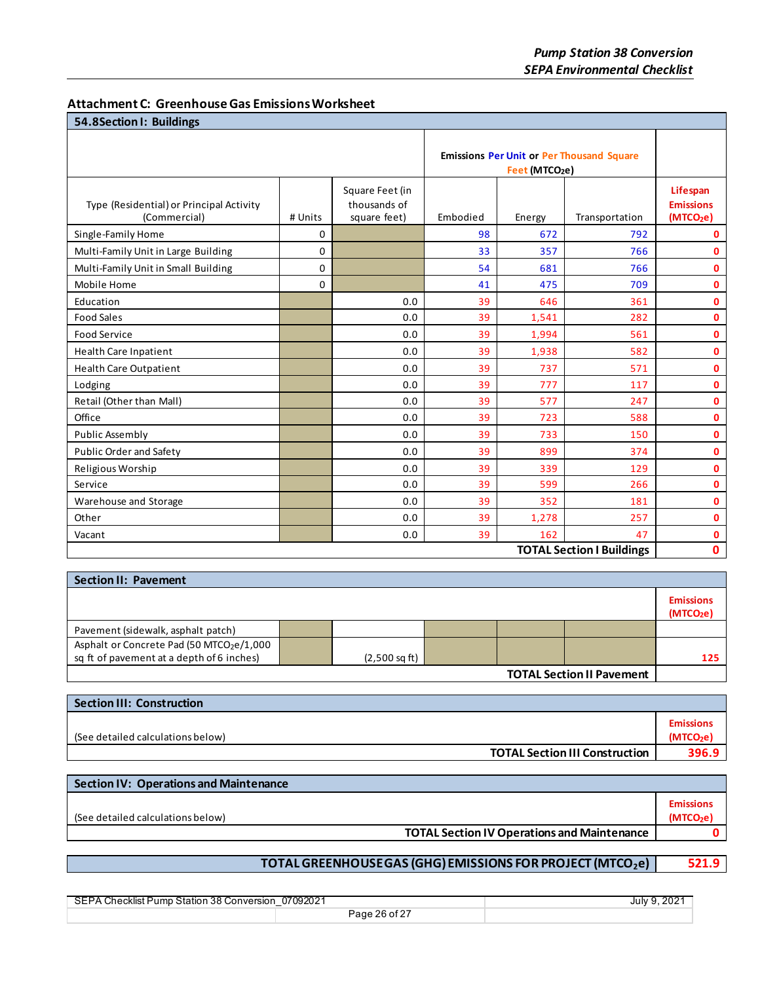| <b>Attachment C: Greenhouse Gas Emissions Worksheet</b> |
|---------------------------------------------------------|
|---------------------------------------------------------|

| 54.8Section I: Buildings                                 |          |                                                 |                                                                                |        |                                  |                                                       |
|----------------------------------------------------------|----------|-------------------------------------------------|--------------------------------------------------------------------------------|--------|----------------------------------|-------------------------------------------------------|
|                                                          |          |                                                 | <b>Emissions Per Unit or Per Thousand Square</b><br>Feet (MTCO <sub>2</sub> e) |        |                                  |                                                       |
| Type (Residential) or Principal Activity<br>(Commercial) | # Units  | Square Feet (in<br>thousands of<br>square feet) | Embodied                                                                       | Energy | Transportation                   | Lifespan<br><b>Emissions</b><br>(MTCO <sub>2</sub> e) |
| Single-Family Home                                       | 0        |                                                 | 98                                                                             | 672    | 792                              | $\mathbf{0}$                                          |
| Multi-Family Unit in Large Building                      | 0        |                                                 | 33                                                                             | 357    | 766                              | $\mathbf{0}$                                          |
| Multi-Family Unit in Small Building                      | 0        |                                                 | 54                                                                             | 681    | 766                              | $\mathbf 0$                                           |
| Mobile Home                                              | $\Omega$ |                                                 | 41                                                                             | 475    | 709                              | $\mathbf{0}$                                          |
| Education                                                |          | 0.0                                             | 39                                                                             | 646    | 361                              | $\mathbf 0$                                           |
| <b>Food Sales</b>                                        |          | 0.0                                             | 39                                                                             | 1,541  | 282                              | $\mathbf 0$                                           |
| <b>Food Service</b>                                      |          | 0.0                                             | 39                                                                             | 1,994  | 561                              | $\mathbf{0}$                                          |
| <b>Health Care Inpatient</b>                             |          | 0.0                                             | 39                                                                             | 1,938  | 582                              | $\mathbf{0}$                                          |
| Health Care Outpatient                                   |          | 0.0                                             | 39                                                                             | 737    | 571                              | $\mathbf{0}$                                          |
| Lodging                                                  |          | 0.0                                             | 39                                                                             | 777    | 117                              | $\mathbf{0}$                                          |
| Retail (Other than Mall)                                 |          | 0.0                                             | 39                                                                             | 577    | 247                              | $\mathbf{0}$                                          |
| Office                                                   |          | 0.0                                             | 39                                                                             | 723    | 588                              | $\mathbf{0}$                                          |
| Public Assembly                                          |          | 0.0                                             | 39                                                                             | 733    | 150                              | $\mathbf 0$                                           |
| <b>Public Order and Safety</b>                           |          | 0.0                                             | 39                                                                             | 899    | 374                              | $\mathbf{0}$                                          |
| Religious Worship                                        |          | 0.0                                             | 39                                                                             | 339    | 129                              | $\mathbf 0$                                           |
| Service                                                  |          | 0.0                                             | 39                                                                             | 599    | 266                              | $\mathbf 0$                                           |
| Warehouse and Storage                                    |          | 0.0                                             | 39                                                                             | 352    | 181                              | $\mathbf 0$                                           |
| Other                                                    |          | 0.0                                             | 39                                                                             | 1,278  | 257                              | $\mathbf 0$                                           |
| Vacant                                                   |          | 0.0                                             | 39                                                                             | 162    | 47                               | 0                                                     |
|                                                          |          |                                                 |                                                                                |        | <b>TOTAL Section I Buildings</b> | $\mathbf{0}$                                          |

| <b>Section II: Pavement</b>                                                           |  |                         |  |  |  |                                           |
|---------------------------------------------------------------------------------------|--|-------------------------|--|--|--|-------------------------------------------|
|                                                                                       |  |                         |  |  |  | <b>Emissions</b><br>(MTCO <sub>2</sub> e) |
| Pavement (sidewalk, asphalt patch)                                                    |  |                         |  |  |  |                                           |
| Asphalt or Concrete Pad (50 MTCO2e/1,000<br>sq ft of pavement at a depth of 6 inches) |  | $(2,500 \text{ sq ft})$ |  |  |  | 125                                       |
| <b>TOTAL Continue Il Dougnant</b>                                                     |  |                         |  |  |  |                                           |

**TOTAL Section II Pavement**

| <b>Section III: Construction</b>      |                                          |  |  |
|---------------------------------------|------------------------------------------|--|--|
| (See detailed calculations below)     | <b>Emissions</b><br>(MTCO <sub>2</sub> e |  |  |
| <b>TOTAL Section III Construction</b> | 396.9                                    |  |  |

| <b>Section IV: Operations and Maintenance</b>      |                                           |
|----------------------------------------------------|-------------------------------------------|
| (See detailed calculations below)                  | <b>Emissions</b><br>(MTCO <sub>2</sub> e) |
| <b>TOTAL Section IV Operations and Maintenance</b> |                                           |
|                                                    |                                           |

# **TOTAL GREENHOUSE GAS (GHG) EMISSIONS FOR PROJECT (MTCO<sub>2</sub>e) | 521.9**